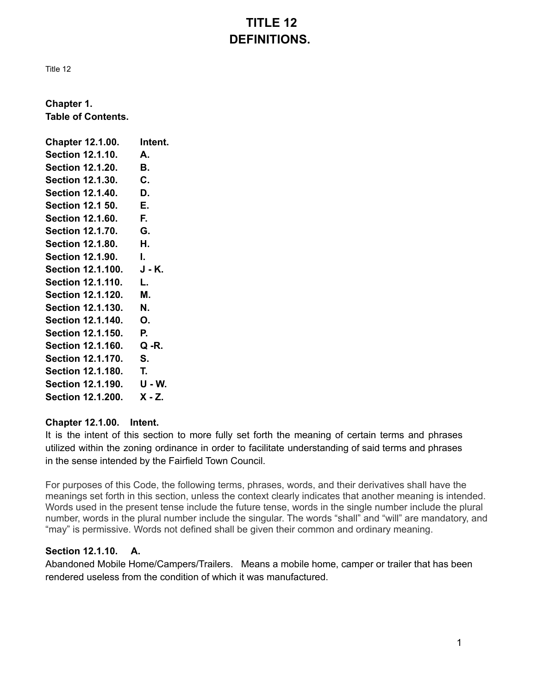# **TITLE 12 DEFINITIONS.**

Title 12

**Chapter 1. Table of Contents.**

| <b>Chapter 12.1.00.</b>  | Intent.   |
|--------------------------|-----------|
| <b>Section 12.1.10.</b>  | А.        |
| <b>Section 12.1.20.</b>  | В.        |
| <b>Section 12.1.30.</b>  | С.        |
| Section 12.1.40.         | D.        |
| <b>Section 12.1 50.</b>  | Е.        |
| <b>Section 12.1.60.</b>  | F.        |
| <b>Section 12.1.70.</b>  | G.        |
| <b>Section 12.1.80.</b>  | Η.        |
| <b>Section 12.1.90.</b>  | I.        |
| <b>Section 12.1.100.</b> | J - K.    |
| <b>Section 12.1.110.</b> | L.        |
| <b>Section 12.1.120.</b> | Μ.        |
| <b>Section 12.1.130.</b> | Ν.        |
| <b>Section 12.1.140.</b> | Ο.        |
| <b>Section 12.1.150.</b> | Р.        |
| <b>Section 12.1.160.</b> | Q -R.     |
| <b>Section 12.1.170.</b> | S.        |
| <b>Section 12.1.180.</b> | T.        |
| Section 12.1.190. U - W. |           |
| <b>Section 12.1.200.</b> | $X - Z$ . |

# **Chapter 12.1.00. Intent.**

It is the intent of this section to more fully set forth the meaning of certain terms and phrases utilized within the zoning ordinance in order to facilitate understanding of said terms and phrases in the sense intended by the Fairfield Town Council.

For purposes of this Code, the following terms, phrases, words, and their derivatives shall have the meanings set forth in this section, unless the context clearly indicates that another meaning is intended. Words used in the present tense include the future tense, words in the single number include the plural number, words in the plural number include the singular. The words "shall" and "will" are mandatory, and "may" is permissive. Words not defined shall be given their common and ordinary meaning.

# **Section 12.1.10. A.**

Abandoned Mobile Home/Campers/Trailers. Means a mobile home, camper or trailer that has been rendered useless from the condition of which it was manufactured.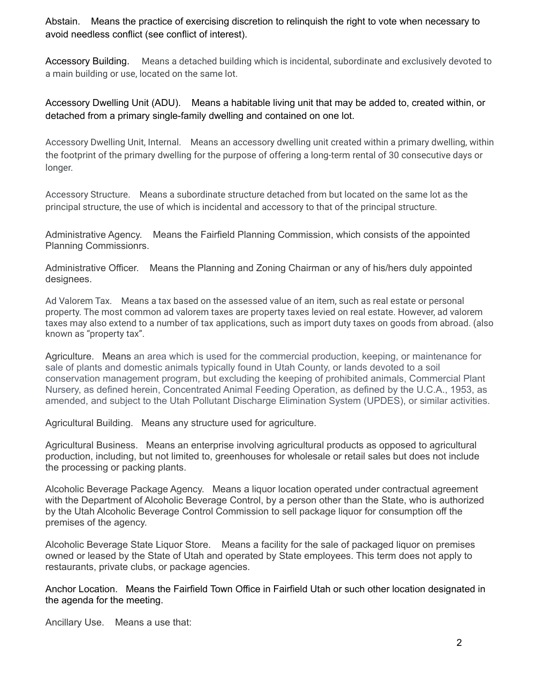Abstain. Means the practice of exercising discretion to relinquish the right to vote when necessary to avoid needless conflict (see conflict of interest).

Accessory Building. Means a detached building which is incidental, subordinate and exclusively devoted to a main building or use, located on the same lot.

# Accessory Dwelling Unit (ADU). Means a habitable living unit that may be added to, created within, or detached from a primary single-family dwelling and contained on one lot.

Accessory Dwelling Unit, Internal. Means an accessory dwelling unit created within a primary dwelling, within the footprint of the primary dwelling for the purpose of offering a long-term rental of 30 consecutive days or longer.

Accessory Structure. Means a subordinate structure detached from but located on the same lot as the principal structure, the use of which is incidental and accessory to that of the principal structure.

Administrative Agency. Means the Fairfield Planning Commission, which consists of the appointed Planning Commissionrs.

Administrative Officer. Means the Planning and Zoning Chairman or any of his/hers duly appointed designees.

Ad Valorem Tax. Means a tax based on the assessed value of an item, such as real estate or personal property. The most common ad valorem taxes are property taxes levied on real estate. However, ad valorem taxes may also extend to a number of tax applications, such as import duty taxes on goods from abroad. (also known as "property tax".

Agriculture. Means an area which is used for the commercial production, keeping, or maintenance for sale of plants and domestic animals typically found in Utah County, or lands devoted to a soil conservation management program, but excluding the keeping of prohibited animals, Commercial Plant Nursery, as defined herein, Concentrated Animal Feeding Operation, as defined by the U.C.A., 1953, as amended, and subject to the Utah Pollutant Discharge Elimination System (UPDES), or similar activities.

Agricultural Building. Means any structure used for agriculture.

Agricultural Business. Means an enterprise involving agricultural products as opposed to agricultural production, including, but not limited to, greenhouses for wholesale or retail sales but does not include the processing or packing plants.

Alcoholic Beverage Package Agency. Means a liquor location operated under contractual agreement with the Department of Alcoholic Beverage Control, by a person other than the State, who is authorized by the Utah Alcoholic Beverage Control Commission to sell package liquor for consumption off the premises of the agency.

Alcoholic Beverage State Liquor Store. Means a facility for the sale of packaged liquor on premises owned or leased by the State of Utah and operated by State employees. This term does not apply to restaurants, private clubs, or package agencies.

Anchor Location. Means the Fairfield Town Office in Fairfield Utah or such other location designated in the agenda for the meeting.

Ancillary Use. Means a use that: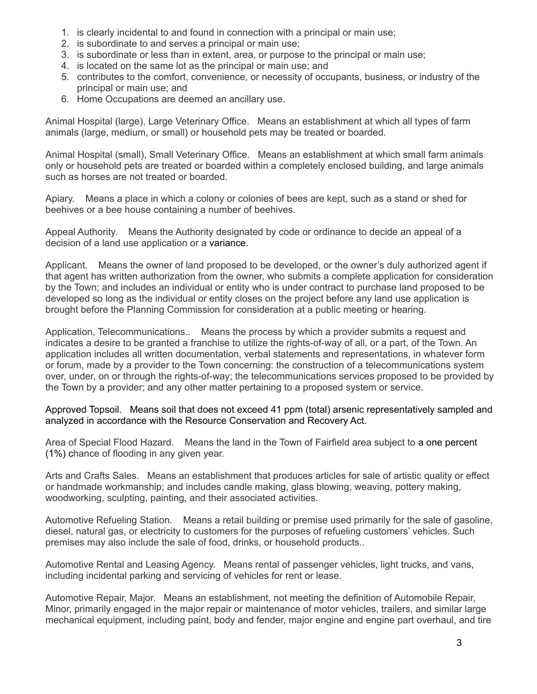- 1. is clearly incidental to and found in connection with a principal or main use;
- 2. is subordinate to and serves a principal or main use;
- 3. is subordinate or less than in extent, area, or purpose to the principal or main use;
- 4. is located on the same lot as the principal or main use; and
- 5. contributes to the comfort, convenience, or necessity of occupants, business, or industry of the principal or main use; and
- 6. Home Occupations are deemed an ancillary use.

Animal Hospital (large), Large Veterinary Office. Means an establishment at which all types of farm animals (large, medium, or small) or household pets may be treated or boarded.

Animal Hospital (small), Small Veterinary Office. Means an establishment at which small farm animals only or household pets are treated or boarded within a completely enclosed building, and large animals such as horses are not treated or boarded.

Apiary. Means a place in which a colony or colonies of bees are kept, such as a stand or shed for beehives or a bee house containing a number of beehives.

Appeal Authority. Means the Authority designated by code or ordinance to decide an appeal of a decision of a land use application or a variance.

Applicant. Means the owner of land proposed to be developed, or the owner's duly authorized agent if that agent has written authorization from the owner, who submits a complete application for consideration by the Town; and includes an individual or entity who is under contract to purchase land proposed to be developed so long as the individual or entity closes on the project before any land use application is brought before the Planning Commission for consideration at a public meeting or hearing.

Application, Telecommunications.. Means the process by which a provider submits a request and indicates a desire to be granted a franchise to utilize the rights-of-way of all, or a part, of the Town. An application includes all written documentation, verbal statements and representations, in whatever form or forum, made by a provider to the Town concerning: the construction of a telecommunications system over, under, on or through the rights-of-way; the telecommunications services proposed to be provided by the Town by a provider; and any other matter pertaining to a proposed system or service.

#### Approved Topsoil. Means soil that does not exceed 41 ppm (total) arsenic representatively sampled and analyzed in accordance with the Resource Conservation and Recovery Act.

Area of Special Flood Hazard. Means the land in the Town of Fairfield area subject to a one percent (1%) chance of flooding in any given year.

Arts and Crafts Sales. Means an establishment that produces articles for sale of artistic quality or effect or handmade workmanship; and includes candle making, glass blowing, weaving, pottery making, woodworking, sculpting, painting, and their associated activities.

Automotive Refueling Station. Means a retail building or premise used primarily for the sale of gasoline, diesel, natural gas, or electricity to customers for the purposes of refueling customers' vehicles. Such premises may also include the sale of food, drinks, or household products..

Automotive Rental and Leasing Agency. Means rental of passenger vehicles, light trucks, and vans, including incidental parking and servicing of vehicles for rent or lease.

Automotive Repair, Major. Means an establishment, not meeting the definition of Automobile Repair, Minor, primarily engaged in the major repair or maintenance of motor vehicles, trailers, and similar large mechanical equipment, including paint, body and fender, major engine and engine part overhaul, and tire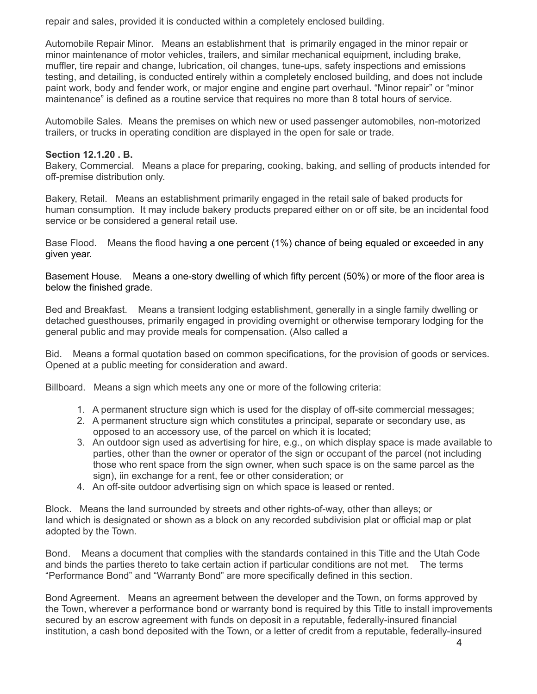repair and sales, provided it is conducted within a completely enclosed building.

Automobile Repair Minor. Means an establishment that is primarily engaged in the minor repair or minor maintenance of motor vehicles, trailers, and similar mechanical equipment, including brake, muffler, tire repair and change, lubrication, oil changes, tune-ups, safety inspections and emissions testing, and detailing, is conducted entirely within a completely enclosed building, and does not include paint work, body and fender work, or major engine and engine part overhaul. "Minor repair" or "minor maintenance" is defined as a routine service that requires no more than 8 total hours of service.

Automobile Sales. Means the premises on which new or used passenger automobiles, non-motorized trailers, or trucks in operating condition are displayed in the open for sale or trade.

# **Section 12.1.20 . B.**

Bakery, Commercial. Means a place for preparing, cooking, baking, and selling of products intended for off-premise distribution only.

Bakery, Retail. Means an establishment primarily engaged in the retail sale of baked products for human consumption. It may include bakery products prepared either on or off site, be an incidental food service or be considered a general retail use.

Base Flood. Means the flood having a one percent (1%) chance of being equaled or exceeded in any given year.

Basement House. Means a one-story dwelling of which fifty percent (50%) or more of the floor area is below the finished grade.

Bed and Breakfast. Means a transient lodging establishment, generally in a single family dwelling or detached guesthouses, primarily engaged in providing overnight or otherwise temporary lodging for the general public and may provide meals for compensation. (Also called a

Bid. Means a formal quotation based on common specifications, for the provision of goods or services. Opened at a public meeting for consideration and award.

Billboard. Means a sign which meets any one or more of the following criteria:

- 1. A permanent structure sign which is used for the display of off-site commercial messages;
- 2. A permanent structure sign which constitutes a principal, separate or secondary use, as opposed to an accessory use, of the parcel on which it is located;
- 3. An outdoor sign used as advertising for hire, e.g., on which display space is made available to parties, other than the owner or operator of the sign or occupant of the parcel (not including those who rent space from the sign owner, when such space is on the same parcel as the sign), iin exchange for a rent, fee or other consideration; or
- 4. An off-site outdoor advertising sign on which space is leased or rented.

Block. Means the land surrounded by streets and other rights-of-way, other than alleys; or land which is designated or shown as a block on any recorded subdivision plat or official map or plat adopted by the Town.

Bond. Means a document that complies with the standards contained in this Title and the Utah Code and binds the parties thereto to take certain action if particular conditions are not met. The terms "Performance Bond" and "Warranty Bond" are more specifically defined in this section.

Bond Agreement. Means an agreement between the developer and the Town, on forms approved by the Town, wherever a performance bond or warranty bond is required by this Title to install improvements secured by an escrow agreement with funds on deposit in a reputable, federally-insured financial institution, a cash bond deposited with the Town, or a letter of credit from a reputable, federally-insured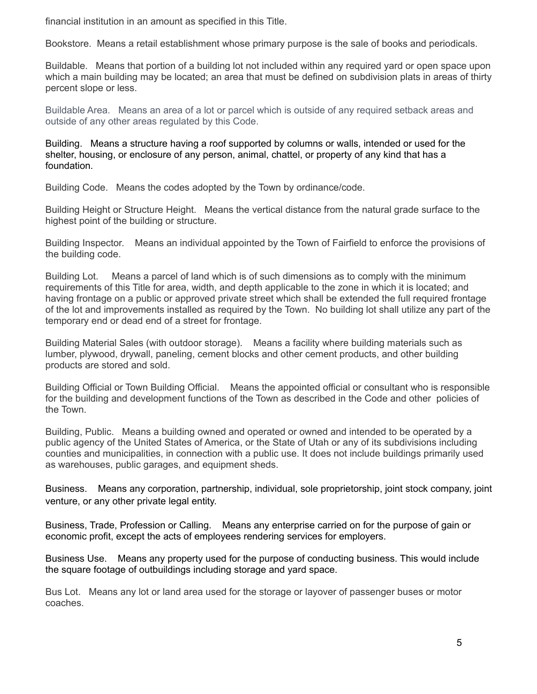financial institution in an amount as specified in this Title.

Bookstore. Means a retail establishment whose primary purpose is the sale of books and periodicals.

Buildable. Means that portion of a building lot not included within any required yard or open space upon which a main building may be located; an area that must be defined on subdivision plats in areas of thirty percent slope or less.

Buildable Area. Means an area of a lot or parcel which is outside of any required setback areas and outside of any other areas regulated by this Code.

Building. Means a structure having a roof supported by columns or walls, intended or used for the shelter, housing, or enclosure of any person, animal, chattel, or property of any kind that has a foundation.

Building Code. Means the codes adopted by the Town by ordinance/code.

Building Height or Structure Height. Means the vertical distance from the natural grade surface to the highest point of the building or structure.

Building Inspector. Means an individual appointed by the Town of Fairfield to enforce the provisions of the building code.

Building Lot. Means a parcel of land which is of such dimensions as to comply with the minimum requirements of this Title for area, width, and depth applicable to the zone in which it is located; and having frontage on a public or approved private street which shall be extended the full required frontage of the lot and improvements installed as required by the Town. No building lot shall utilize any part of the temporary end or dead end of a street for frontage.

Building Material Sales (with outdoor storage). Means a facility where building materials such as lumber, plywood, drywall, paneling, cement blocks and other cement products, and other building products are stored and sold.

Building Official or Town Building Official. Means the appointed official or consultant who is responsible for the building and development functions of the Town as described in the Code and other policies of the Town.

Building, Public. Means a building owned and operated or owned and intended to be operated by a public agency of the United States of America, or the State of Utah or any of its subdivisions including counties and municipalities, in connection with a public use. It does not include buildings primarily used as warehouses, public garages, and equipment sheds.

Business. Means any corporation, partnership, individual, sole proprietorship, joint stock company, joint venture, or any other private legal entity.

Business, Trade, Profession or Calling. Means any enterprise carried on for the purpose of gain or economic profit, except the acts of employees rendering services for employers.

Business Use. Means any property used for the purpose of conducting business. This would include the square footage of outbuildings including storage and yard space.

Bus Lot. Means any lot or land area used for the storage or layover of passenger buses or motor coaches.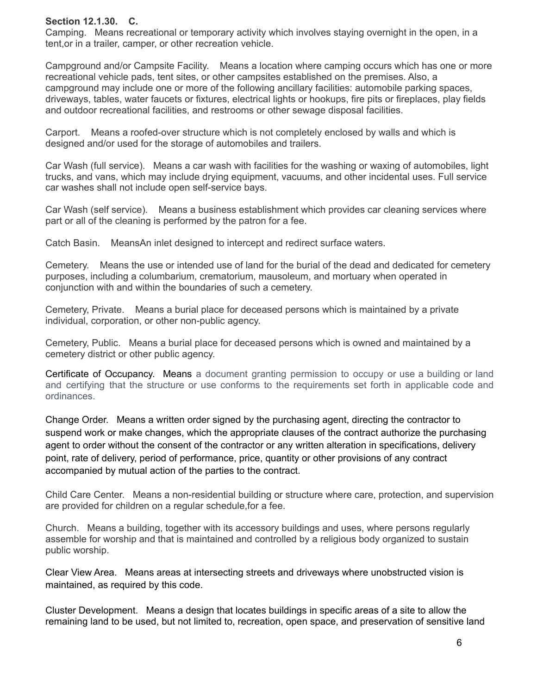#### **Section 12.1.30. C.**

Camping. Means recreational or temporary activity which involves staying overnight in the open, in a tent,or in a trailer, camper, or other recreation vehicle.

Campground and/or Campsite Facility. Means a location where camping occurs which has one or more recreational vehicle pads, tent sites, or other campsites established on the premises. Also, a campground may include one or more of the following ancillary facilities: automobile parking spaces, driveways, tables, water faucets or fixtures, electrical lights or hookups, fire pits or fireplaces, play fields and outdoor recreational facilities, and restrooms or other sewage disposal facilities.

Carport. Means a roofed-over structure which is not completely enclosed by walls and which is designed and/or used for the storage of automobiles and trailers.

Car Wash (full service). Means a car wash with facilities for the washing or waxing of automobiles, light trucks, and vans, which may include drying equipment, vacuums, and other incidental uses. Full service car washes shall not include open self-service bays.

Car Wash (self service). Means a business establishment which provides car cleaning services where part or all of the cleaning is performed by the patron for a fee.

Catch Basin. MeansAn inlet designed to intercept and redirect surface waters.

Cemetery. Means the use or intended use of land for the burial of the dead and dedicated for cemetery purposes, including a columbarium, crematorium, mausoleum, and mortuary when operated in conjunction with and within the boundaries of such a cemetery.

Cemetery, Private. Means a burial place for deceased persons which is maintained by a private individual, corporation, or other non-public agency.

Cemetery, Public. Means a burial place for deceased persons which is owned and maintained by a cemetery district or other public agency.

Certificate of Occupancy. Means a document granting permission to occupy or use a building or land and certifying that the structure or use conforms to the requirements set forth in applicable code and ordinances.

Change Order. Means a written order signed by the purchasing agent, directing the contractor to suspend work or make changes, which the appropriate clauses of the contract authorize the purchasing agent to order without the consent of the contractor or any written alteration in specifications, delivery point, rate of delivery, period of performance, price, quantity or other provisions of any contract accompanied by mutual action of the parties to the contract.

Child Care Center. Means a non-residential building or structure where care, protection, and supervision are provided for children on a regular schedule,for a fee.

Church. Means a building, together with its accessory buildings and uses, where persons regularly assemble for worship and that is maintained and controlled by a religious body organized to sustain public worship.

Clear View Area. Means areas at intersecting streets and driveways where unobstructed vision is maintained, as required by this code.

Cluster Development. Means a design that locates buildings in specific areas of a site to allow the remaining land to be used, but not limited to, recreation, open space, and preservation of sensitive land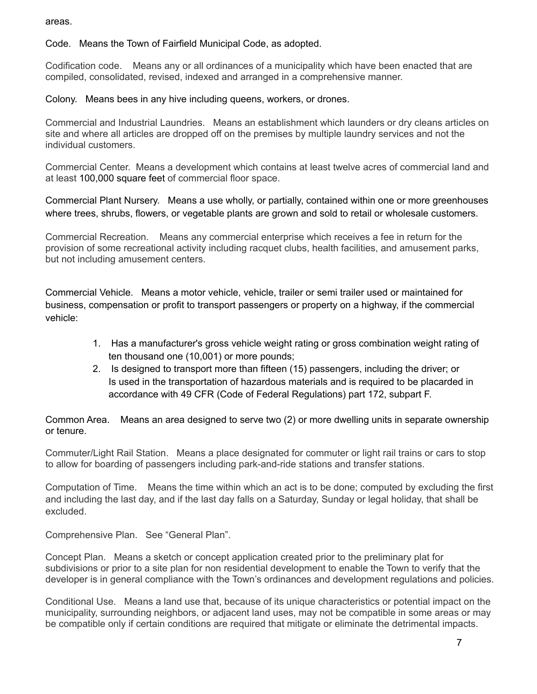areas.

Code. Means the Town of Fairfield Municipal Code, as adopted.

Codification code. Means any or all ordinances of a municipality which have been enacted that are compiled, consolidated, revised, indexed and arranged in a comprehensive manner.

Colony. Means bees in any hive including queens, workers, or drones.

Commercial and Industrial Laundries. Means an establishment which launders or dry cleans articles on site and where all articles are dropped off on the premises by multiple laundry services and not the individual customers.

Commercial Center. Means a development which contains at least twelve acres of commercial land and at least 100,000 square feet of commercial floor space.

Commercial Plant Nursery. Means a use wholly, or partially, contained within one or more greenhouses where trees, shrubs, flowers, or vegetable plants are grown and sold to retail or wholesale customers.

Commercial Recreation. Means any commercial enterprise which receives a fee in return for the provision of some recreational activity including racquet clubs, health facilities, and amusement parks, but not including amusement centers.

Commercial Vehicle. Means a motor vehicle, vehicle, trailer or semi trailer used or maintained for business, compensation or profit to transport passengers or property on a highway, if the commercial vehicle:

- 1. Has a manufacturer's gross vehicle weight rating or gross combination weight rating of ten thousand one (10,001) or more pounds;
- 2. Is designed to transport more than fifteen (15) passengers, including the driver; or Is used in the transportation of hazardous materials and is required to be placarded in accordance with 49 CFR (Code of Federal Regulations) part 172, subpart F.

Common Area. Means an area designed to serve two (2) or more dwelling units in separate ownership or tenure.

Commuter/Light Rail Station. Means a place designated for commuter or light rail trains or cars to stop to allow for boarding of passengers including park-and-ride stations and transfer stations.

Computation of Time. Means the time within which an act is to be done; computed by excluding the first and including the last day, and if the last day falls on a Saturday, Sunday or legal holiday, that shall be excluded.

Comprehensive Plan. See "General Plan".

Concept Plan. Means a sketch or concept application created prior to the preliminary plat for subdivisions or prior to a site plan for non residential development to enable the Town to verify that the developer is in general compliance with the Town's ordinances and development regulations and policies.

Conditional Use. Means a land use that, because of its unique characteristics or potential impact on the municipality, surrounding neighbors, or adjacent land uses, may not be compatible in some areas or may be compatible only if certain conditions are required that mitigate or eliminate the detrimental impacts.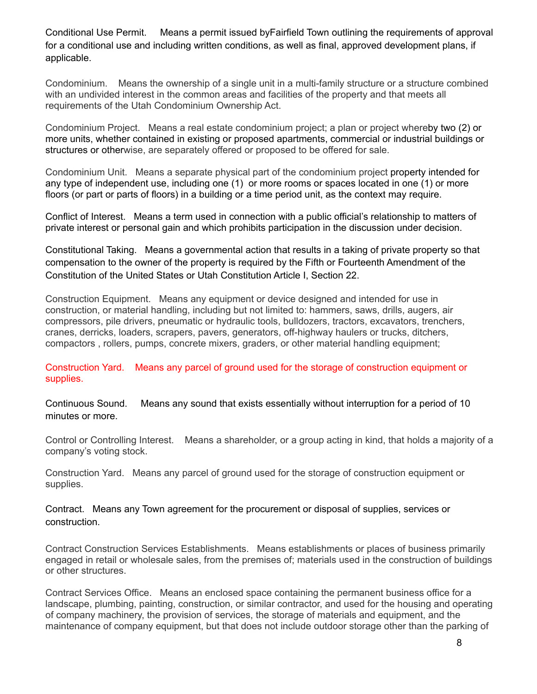Conditional Use Permit. Means a permit issued byFairfield Town outlining the requirements of approval for a conditional use and including written conditions, as well as final, approved development plans, if applicable.

Condominium. Means the ownership of a single unit in a multi-family structure or a structure combined with an undivided interest in the common areas and facilities of the property and that meets all requirements of the Utah Condominium Ownership Act.

Condominium Project. Means a real estate condominium project; a plan or project whereby two (2) or more units, whether contained in existing or proposed apartments, commercial or industrial buildings or structures or otherwise, are separately offered or proposed to be offered for sale.

Condominium Unit. Means a separate physical part of the condominium project property intended for any type of independent use, including one (1) or more rooms or spaces located in one (1) or more floors (or part or parts of floors) in a building or a time period unit, as the context may require.

Conflict of Interest. Means a term used in connection with a public official's relationship to matters of private interest or personal gain and which prohibits participation in the discussion under decision.

Constitutional Taking. Means a governmental action that results in a taking of private property so that compensation to the owner of the property is required by the Fifth or Fourteenth Amendment of the Constitution of the United States or Utah Constitution Article I, Section 22.

Construction Equipment. Means any equipment or device designed and intended for use in construction, or material handling, including but not limited to: hammers, saws, drills, augers, air compressors, pile drivers, pneumatic or hydraulic tools, bulldozers, tractors, excavators, trenchers, cranes, derricks, loaders, scrapers, pavers, generators, off-highway haulers or trucks, ditchers, compactors , rollers, pumps, concrete mixers, graders, or other material handling equipment;

Construction Yard. Means any parcel of ground used for the storage of construction equipment or supplies.

Continuous Sound. Means any sound that exists essentially without interruption for a period of 10 minutes or more.

Control or Controlling Interest. Means a shareholder, or a group acting in kind, that holds a majority of a company's voting stock.

Construction Yard. Means any parcel of ground used for the storage of construction equipment or supplies.

Contract. Means any Town agreement for the procurement or disposal of supplies, services or construction.

Contract Construction Services Establishments. Means establishments or places of business primarily engaged in retail or wholesale sales, from the premises of; materials used in the construction of buildings or other structures.

Contract Services Office. Means an enclosed space containing the permanent business office for a landscape, plumbing, painting, construction, or similar contractor, and used for the housing and operating of company machinery, the provision of services, the storage of materials and equipment, and the maintenance of company equipment, but that does not include outdoor storage other than the parking of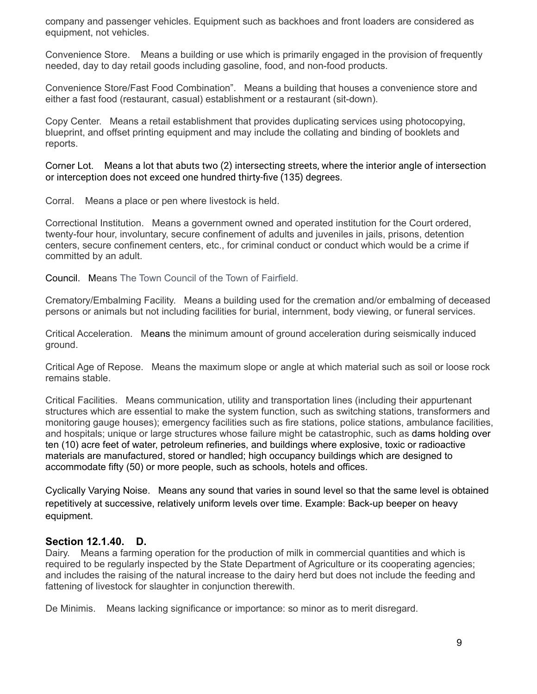company and passenger vehicles. Equipment such as backhoes and front loaders are considered as equipment, not vehicles.

Convenience Store. Means a building or use which is primarily engaged in the provision of frequently needed, day to day retail goods including gasoline, food, and non-food products.

Convenience Store/Fast Food Combination". Means a building that houses a convenience store and either a fast food (restaurant, casual) establishment or a restaurant (sit-down).

Copy Center. Means a retail establishment that provides duplicating services using photocopying, blueprint, and offset printing equipment and may include the collating and binding of booklets and reports.

Corner Lot. Means a lot that abuts two (2) intersecting streets, where the interior angle of intersection or interception does not exceed one hundred thirty-five (135) degrees.

Corral. Means a place or pen where livestock is held.

Correctional Institution. Means a government owned and operated institution for the Court ordered, twenty-four hour, involuntary, secure confinement of adults and juveniles in jails, prisons, detention centers, secure confinement centers, etc., for criminal conduct or conduct which would be a crime if committed by an adult.

Council. Means The Town Council of the Town of Fairfield.

Crematory/Embalming Facility. Means a building used for the cremation and/or embalming of deceased persons or animals but not including facilities for burial, internment, body viewing, or funeral services.

Critical Acceleration. Means the minimum amount of ground acceleration during seismically induced ground.

Critical Age of Repose. Means the maximum slope or angle at which material such as soil or loose rock remains stable.

Critical Facilities. Means communication, utility and transportation lines (including their appurtenant structures which are essential to make the system function, such as switching stations, transformers and monitoring gauge houses); emergency facilities such as fire stations, police stations, ambulance facilities, and hospitals; unique or large structures whose failure might be catastrophic, such as dams holding over ten (10) acre feet of water, petroleum refineries, and buildings where explosive, toxic or radioactive materials are manufactured, stored or handled; high occupancy buildings which are designed to accommodate fifty (50) or more people, such as schools, hotels and offices.

Cyclically Varying Noise. Means any sound that varies in sound level so that the same level is obtained repetitively at successive, relatively uniform levels over time. Example: Back-up beeper on heavy equipment.

# **Section 12.1.40. D.**

Dairy. Means a farming operation for the production of milk in commercial quantities and which is required to be regularly inspected by the State Department of Agriculture or its cooperating agencies; and includes the raising of the natural increase to the dairy herd but does not include the feeding and fattening of livestock for slaughter in conjunction therewith.

De Minimis. Means lacking significance or importance: so minor as to merit disregard.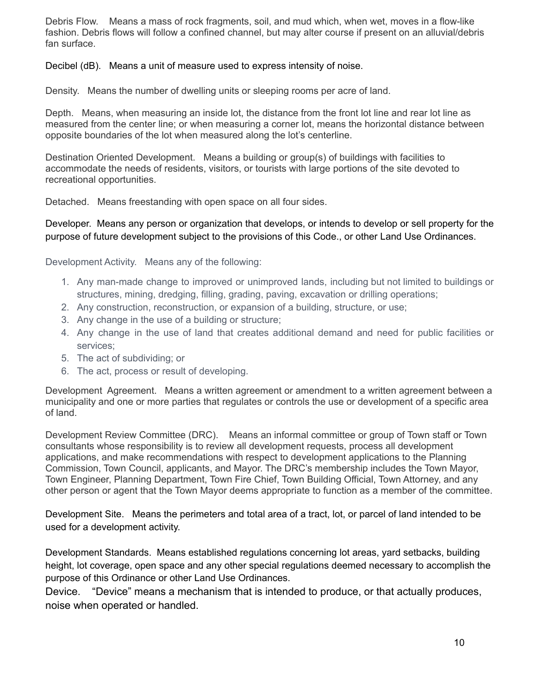Debris Flow. Means a mass of rock fragments, soil, and mud which, when wet, moves in a flow-like fashion. Debris flows will follow a confined channel, but may alter course if present on an alluvial/debris fan surface.

Decibel (dB). Means a unit of measure used to express intensity of noise.

Density. Means the number of dwelling units or sleeping rooms per acre of land.

Depth. Means, when measuring an inside lot, the distance from the front lot line and rear lot line as measured from the center line; or when measuring a corner lot, means the horizontal distance between opposite boundaries of the lot when measured along the lot's centerline.

Destination Oriented Development. Means a building or group(s) of buildings with facilities to accommodate the needs of residents, visitors, or tourists with large portions of the site devoted to recreational opportunities.

Detached. Means freestanding with open space on all four sides.

Developer. Means any person or organization that develops, or intends to develop or sell property for the purpose of future development subject to the provisions of this Code., or other Land Use Ordinances.

Development Activity. Means any of the following:

- 1. Any man-made change to improved or unimproved lands, including but not limited to buildings or structures, mining, dredging, filling, grading, paving, excavation or drilling operations;
- 2. Any construction, reconstruction, or expansion of a building, structure, or use;
- 3. Any change in the use of a building or structure;
- 4. Any change in the use of land that creates additional demand and need for public facilities or services;
- 5. The act of subdividing; or
- 6. The act, process or result of developing.

Development Agreement. Means a written agreement or amendment to a written agreement between a municipality and one or more parties that regulates or controls the use or development of a specific area of land.

Development Review Committee (DRC). Means an informal committee or group of Town staff or Town consultants whose responsibility is to review all development requests, process all development applications, and make recommendations with respect to development applications to the Planning Commission, Town Council, applicants, and Mayor. The DRC's membership includes the Town Mayor, Town Engineer, Planning Department, Town Fire Chief, Town Building Official, Town Attorney, and any other person or agent that the Town Mayor deems appropriate to function as a member of the committee.

Development Site. Means the perimeters and total area of a tract, lot, or parcel of land intended to be used for a development activity.

Development Standards. Means established regulations concerning lot areas, yard setbacks, building height, lot coverage, open space and any other special regulations deemed necessary to accomplish the purpose of this Ordinance or other Land Use Ordinances.

Device. "Device" means a mechanism that is intended to produce, or that actually produces, noise when operated or handled.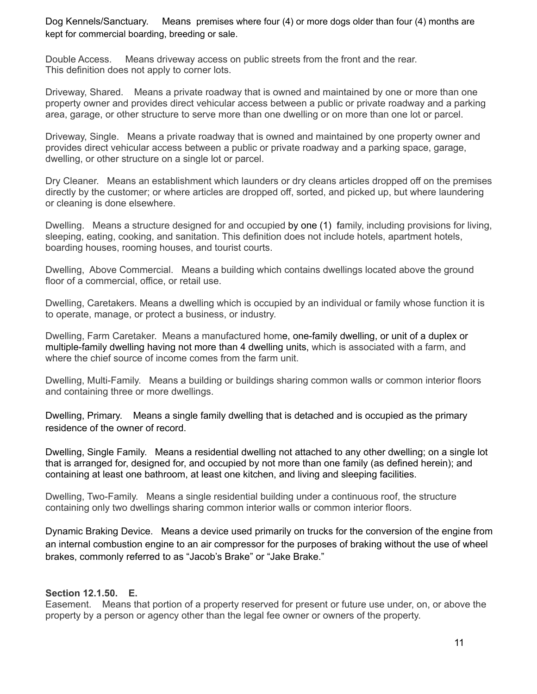Dog Kennels/Sanctuary. Means premises where four (4) or more dogs older than four (4) months are kept for commercial boarding, breeding or sale.

Double Access. Means driveway access on public streets from the front and the rear. This definition does not apply to corner lots.

Driveway, Shared. Means a private roadway that is owned and maintained by one or more than one property owner and provides direct vehicular access between a public or private roadway and a parking area, garage, or other structure to serve more than one dwelling or on more than one lot or parcel.

Driveway, Single. Means a private roadway that is owned and maintained by one property owner and provides direct vehicular access between a public or private roadway and a parking space, garage, dwelling, or other structure on a single lot or parcel.

Dry Cleaner. Means an establishment which launders or dry cleans articles dropped off on the premises directly by the customer; or where articles are dropped off, sorted, and picked up, but where laundering or cleaning is done elsewhere.

Dwelling. Means a structure designed for and occupied by one (1) family, including provisions for living, sleeping, eating, cooking, and sanitation. This definition does not include hotels, apartment hotels, boarding houses, rooming houses, and tourist courts.

Dwelling, Above Commercial. Means a building which contains dwellings located above the ground floor of a commercial, office, or retail use.

Dwelling, Caretakers. Means a dwelling which is occupied by an individual or family whose function it is to operate, manage, or protect a business, or industry.

Dwelling, Farm Caretaker. Means a manufactured home, one-family dwelling, or unit of a duplex or multiple-family dwelling having not more than 4 dwelling units, which is associated with a farm, and where the chief source of income comes from the farm unit.

Dwelling, Multi-Family. Means a building or buildings sharing common walls or common interior floors and containing three or more dwellings.

Dwelling, Primary. Means a single family dwelling that is detached and is occupied as the primary residence of the owner of record.

Dwelling, Single Family. Means a residential dwelling not attached to any other dwelling; on a single lot that is arranged for, designed for, and occupied by not more than one family (as defined herein); and containing at least one bathroom, at least one kitchen, and living and sleeping facilities.

Dwelling, Two-Family. Means a single residential building under a continuous roof, the structure containing only two dwellings sharing common interior walls or common interior floors.

Dynamic Braking Device. Means a device used primarily on trucks for the conversion of the engine from an internal combustion engine to an air compressor for the purposes of braking without the use of wheel brakes, commonly referred to as "Jacob's Brake" or "Jake Brake."

# **Section 12.1.50. E.**

Easement. Means that portion of a property reserved for present or future use under, on, or above the property by a person or agency other than the legal fee owner or owners of the property.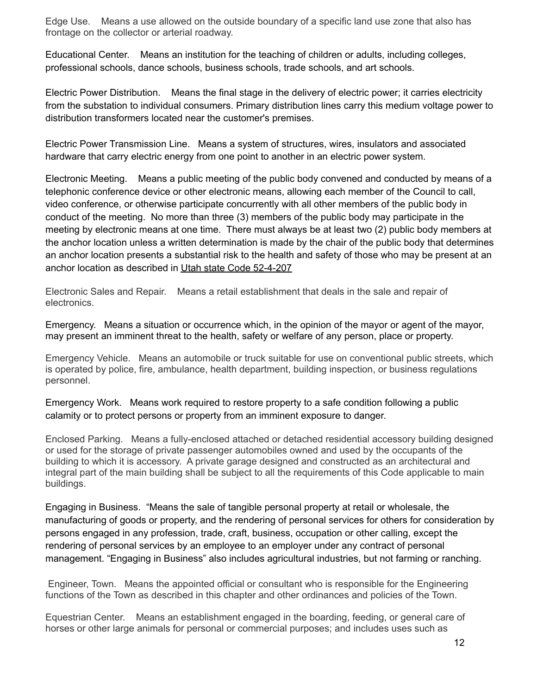Edge Use. Means a use allowed on the outside boundary of a specific land use zone that also has frontage on the collector or arterial roadway.

Educational Center. Means an institution for the teaching of children or adults, including colleges, professional schools, dance schools, business schools, trade schools, and art schools.

Electric Power Distribution. Means the final stage in the delivery of electric power; it carries electricity from the substation to individual consumers. Primary distribution lines carry this medium voltage power to distribution transformers located near the customer's premises.

Electric Power Transmission Line. Means a system of structures, wires, insulators and associated hardware that carry electric energy from one point to another in an electric power system.

Electronic Meeting. Means a public meeting of the public body convened and conducted by means of a telephonic conference device or other electronic means, allowing each member of the Council to call, video conference, or otherwise participate concurrently with all other members of the public body in conduct of the meeting. No more than three (3) members of the public body may participate in the meeting by electronic means at one time. There must always be at least two (2) public body members at the anchor location unless a written determination is made by the chair of the public body that determines an anchor location presents a substantial risk to the health and safety of those who may be present at an anchor location as described in Utah state Code [52-4-207](https://le.utah.gov/xcode/Title52/Chapter4/52-4-S207.html?v=C52-4-S207_2020062520200625)

Electronic Sales and Repair. Means a retail establishment that deals in the sale and repair of electronics.

Emergency. Means a situation or occurrence which, in the opinion of the mayor or agent of the mayor, may present an imminent threat to the health, safety or welfare of any person, place or property.

Emergency Vehicle. Means an automobile or truck suitable for use on conventional public streets, which is operated by police, fire, ambulance, health department, building inspection, or business regulations personnel.

Emergency Work. Means work required to restore property to a safe condition following a public calamity or to protect persons or property from an imminent exposure to danger.

Enclosed Parking. Means a fully-enclosed attached or detached residential accessory building designed or used for the storage of private passenger automobiles owned and used by the occupants of the building to which it is accessory. A private garage designed and constructed as an architectural and integral part of the main building shall be subject to all the requirements of this Code applicable to main buildings.

Engaging in Business. "Means the sale of tangible personal property at retail or wholesale, the manufacturing of goods or property, and the rendering of personal services for others for consideration by persons engaged in any profession, trade, craft, business, occupation or other calling, except the rendering of personal services by an employee to an employer under any contract of personal management. "Engaging in Business" also includes agricultural industries, but not farming or ranching.

Engineer, Town. Means the appointed official or consultant who is responsible for the Engineering functions of the Town as described in this chapter and other ordinances and policies of the Town.

Equestrian Center. Means an establishment engaged in the boarding, feeding, or general care of horses or other large animals for personal or commercial purposes; and includes uses such as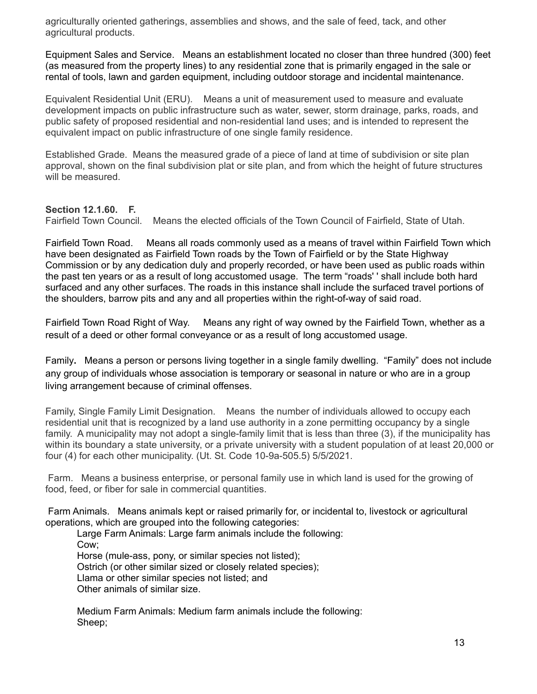agriculturally oriented gatherings, assemblies and shows, and the sale of feed, tack, and other agricultural products.

Equipment Sales and Service. Means an establishment located no closer than three hundred (300) feet (as measured from the property lines) to any residential zone that is primarily engaged in the sale or rental of tools, lawn and garden equipment, including outdoor storage and incidental maintenance.

Equivalent Residential Unit (ERU). Means a unit of measurement used to measure and evaluate development impacts on public infrastructure such as water, sewer, storm drainage, parks, roads, and public safety of proposed residential and non-residential land uses; and is intended to represent the equivalent impact on public infrastructure of one single family residence.

Established Grade. Means the measured grade of a piece of land at time of subdivision or site plan approval, shown on the final subdivision plat or site plan, and from which the height of future structures will be measured.

#### **Section 12.1.60. F.**

Fairfield Town Council. Means the elected officials of the Town Council of Fairfield, State of Utah.

Fairfield Town Road. Means all roads commonly used as a means of travel within Fairfield Town which have been designated as Fairfield Town roads by the Town of Fairfield or by the State Highway Commission or by any dedication duly and properly recorded, or have been used as public roads within the past ten years or as a result of long accustomed usage. The term "roads' ' shall include both hard surfaced and any other surfaces. The roads in this instance shall include the surfaced travel portions of the shoulders, barrow pits and any and all properties within the right-of-way of said road.

Fairfield Town Road Right of Way. Means any right of way owned by the Fairfield Town, whether as a result of a deed or other formal conveyance or as a result of long accustomed usage.

Family**.** Means a person or persons living together in a single family dwelling. "Family" does not include any group of individuals whose association is temporary or seasonal in nature or who are in a group living arrangement because of criminal offenses.

Family, Single Family Limit Designation. Means the number of individuals allowed to occupy each residential unit that is recognized by a land use authority in a zone permitting occupancy by a single family. A municipality may not adopt a single-family limit that is less than three (3), if the municipality has within its boundary a state university, or a private university with a student population of at least 20,000 or four (4) for each other municipality. (Ut. St. Code 10-9a-505.5) 5/5/2021.

Farm. Means a business enterprise, or personal family use in which land is used for the growing of food, feed, or fiber for sale in commercial quantities.

Farm Animals. Means animals kept or raised primarily for, or incidental to, livestock or agricultural operations, which are grouped into the following categories:

Large Farm Animals: Large farm animals include the following: Cow; Horse (mule-ass, pony, or similar species not listed); Ostrich (or other similar sized or closely related species); Llama or other similar species not listed; and Other animals of similar size.

Medium Farm Animals: Medium farm animals include the following: Sheep;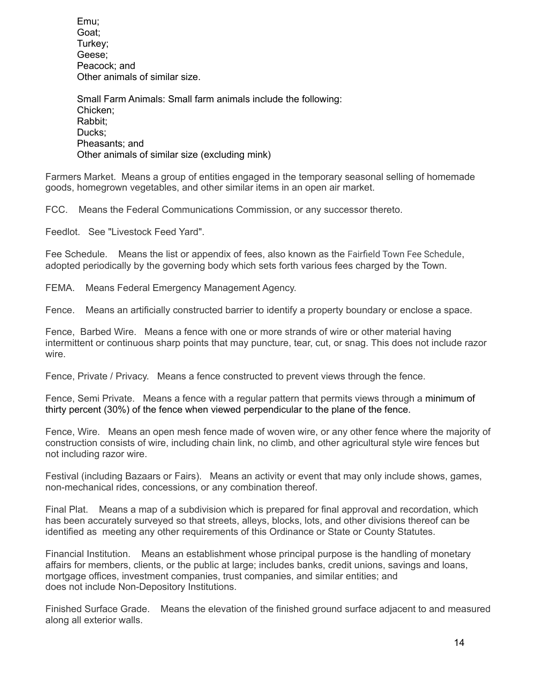Emu; Goat; Turkey; Geese; Peacock; and Other animals of similar size.

Small Farm Animals: Small farm animals include the following: Chicken; Rabbit; Ducks; Pheasants; and Other animals of similar size (excluding mink)

Farmers Market. Means a group of entities engaged in the temporary seasonal selling of homemade goods, homegrown vegetables, and other similar items in an open air market.

FCC. Means the Federal Communications Commission, or any successor thereto.

Feedlot. See "Livestock Feed Yard".

Fee Schedule. Means the list or appendix of fees, also known as the Fairfield Town Fee Schedule, adopted periodically by the governing body which sets forth various fees charged by the Town.

FEMA. Means Federal Emergency Management Agency.

Fence. Means an artificially constructed barrier to identify a property boundary or enclose a space.

Fence, Barbed Wire. Means a fence with one or more strands of wire or other material having intermittent or continuous sharp points that may puncture, tear, cut, or snag. This does not include razor wire.

Fence, Private / Privacy. Means a fence constructed to prevent views through the fence.

Fence, Semi Private. Means a fence with a regular pattern that permits views through a minimum of thirty percent (30%) of the fence when viewed perpendicular to the plane of the fence.

Fence, Wire. Means an open mesh fence made of woven wire, or any other fence where the majority of construction consists of wire, including chain link, no climb, and other agricultural style wire fences but not including razor wire.

Festival (including Bazaars or Fairs). Means an activity or event that may only include shows, games, non-mechanical rides, concessions, or any combination thereof.

Final Plat. Means a map of a subdivision which is prepared for final approval and recordation, which has been accurately surveyed so that streets, alleys, blocks, lots, and other divisions thereof can be identified as meeting any other requirements of this Ordinance or State or County Statutes.

Financial Institution. Means an establishment whose principal purpose is the handling of monetary affairs for members, clients, or the public at large; includes banks, credit unions, savings and loans, mortgage offices, investment companies, trust companies, and similar entities; and does not include Non-Depository Institutions.

Finished Surface Grade. Means the elevation of the finished ground surface adjacent to and measured along all exterior walls.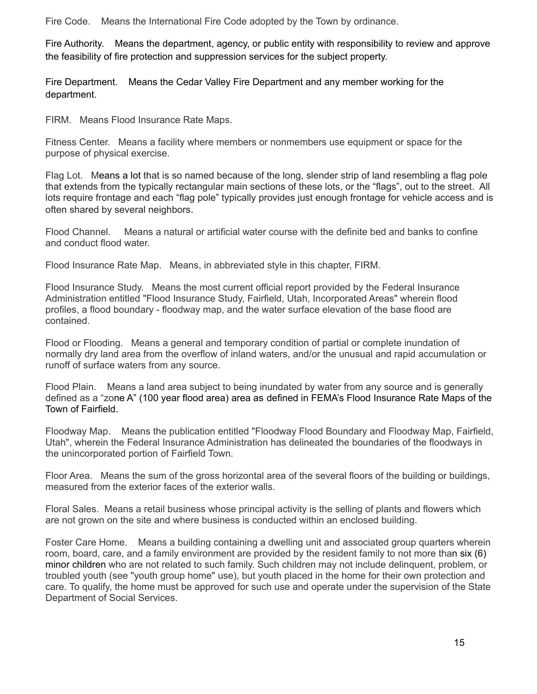Fire Code. Means the International Fire Code adopted by the Town by ordinance.

Fire Authority. Means the department, agency, or public entity with responsibility to review and approve the feasibility of fire protection and suppression services for the subject property.

Fire Department. Means the Cedar Valley Fire Department and any member working for the department.

FIRM. Means Flood Insurance Rate Maps.

Fitness Center. Means a facility where members or nonmembers use equipment or space for the purpose of physical exercise.

Flag Lot. Means a lot that is so named because of the long, slender strip of land resembling a flag pole that extends from the typically rectangular main sections of these lots, or the "flags", out to the street. All lots require frontage and each "flag pole" typically provides just enough frontage for vehicle access and is often shared by several neighbors.

Flood Channel. Means a natural or artificial water course with the definite bed and banks to confine and conduct flood water.

Flood Insurance Rate Map. Means, in abbreviated style in this chapter, FIRM.

Flood Insurance Study. Means the most current official report provided by the Federal Insurance Administration entitled "Flood Insurance Study, Fairfield, Utah, Incorporated Areas" wherein flood profiles, a flood boundary - floodway map, and the water surface elevation of the base flood are contained.

Flood or Flooding. Means a general and temporary condition of partial or complete inundation of normally dry land area from the overflow of inland waters, and/or the unusual and rapid accumulation or runoff of surface waters from any source.

Flood Plain. Means a land area subject to being inundated by water from any source and is generally defined as a "zone A" (100 year flood area) area as defined in FEMA's Flood Insurance Rate Maps of the Town of Fairfield.

Floodway Map. Means the publication entitled "Floodway Flood Boundary and Floodway Map, Fairfield, Utah", wherein the Federal Insurance Administration has delineated the boundaries of the floodways in the unincorporated portion of Fairfield Town.

Floor Area. Means the sum of the gross horizontal area of the several floors of the building or buildings, measured from the exterior faces of the exterior walls.

Floral Sales. Means a retail business whose principal activity is the selling of plants and flowers which are not grown on the site and where business is conducted within an enclosed building.

Foster Care Home. Means a building containing a dwelling unit and associated group quarters wherein room, board, care, and a family environment are provided by the resident family to not more than six (6) minor children who are not related to such family. Such children may not include delinquent, problem, or troubled youth (see "youth group home" use), but youth placed in the home for their own protection and care. To qualify, the home must be approved for such use and operate under the supervision of the State Department of Social Services.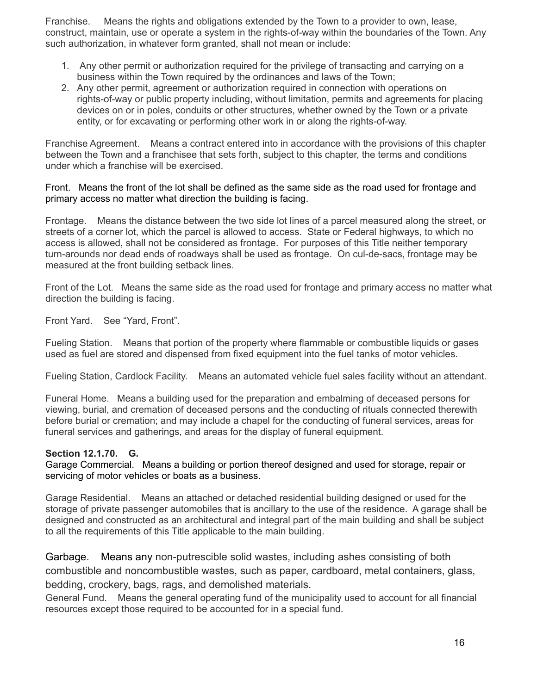Franchise. Means the rights and obligations extended by the Town to a provider to own, lease, construct, maintain, use or operate a system in the rights-of-way within the boundaries of the Town. Any such authorization, in whatever form granted, shall not mean or include:

- 1. Any other permit or authorization required for the privilege of transacting and carrying on a business within the Town required by the ordinances and laws of the Town;
- 2. Any other permit, agreement or authorization required in connection with operations on rights-of-way or public property including, without limitation, permits and agreements for placing devices on or in poles, conduits or other structures, whether owned by the Town or a private entity, or for excavating or performing other work in or along the rights-of-way.

Franchise Agreement. Means a contract entered into in accordance with the provisions of this chapter between the Town and a franchisee that sets forth, subject to this chapter, the terms and conditions under which a franchise will be exercised.

# Front. Means the front of the lot shall be defined as the same side as the road used for frontage and primary access no matter what direction the building is facing.

Frontage. Means the distance between the two side lot lines of a parcel measured along the street, or streets of a corner lot, which the parcel is allowed to access. State or Federal highways, to which no access is allowed, shall not be considered as frontage. For purposes of this Title neither temporary turn-arounds nor dead ends of roadways shall be used as frontage. On cul-de-sacs, frontage may be measured at the front building setback lines.

Front of the Lot. Means the same side as the road used for frontage and primary access no matter what direction the building is facing.

Front Yard. See "Yard, Front".

Fueling Station. Means that portion of the property where flammable or combustible liquids or gases used as fuel are stored and dispensed from fixed equipment into the fuel tanks of motor vehicles.

Fueling Station, Cardlock Facility. Means an automated vehicle fuel sales facility without an attendant.

Funeral Home. Means a building used for the preparation and embalming of deceased persons for viewing, burial, and cremation of deceased persons and the conducting of rituals connected therewith before burial or cremation; and may include a chapel for the conducting of funeral services, areas for funeral services and gatherings, and areas for the display of funeral equipment.

# **Section 12.1.70. G.**

Garage Commercial. Means a building or portion thereof designed and used for storage, repair or servicing of motor vehicles or boats as a business.

Garage Residential. Means an attached or detached residential building designed or used for the storage of private passenger automobiles that is ancillary to the use of the residence. A garage shall be designed and constructed as an architectural and integral part of the main building and shall be subject to all the requirements of this Title applicable to the main building.

Garbage. Means any non-putrescible solid wastes, including ashes consisting of both combustible and noncombustible wastes, such as paper, cardboard, metal containers, glass, bedding, crockery, bags, rags, and demolished materials.

General Fund. Means the general operating fund of the municipality used to account for all financial resources except those required to be accounted for in a special fund.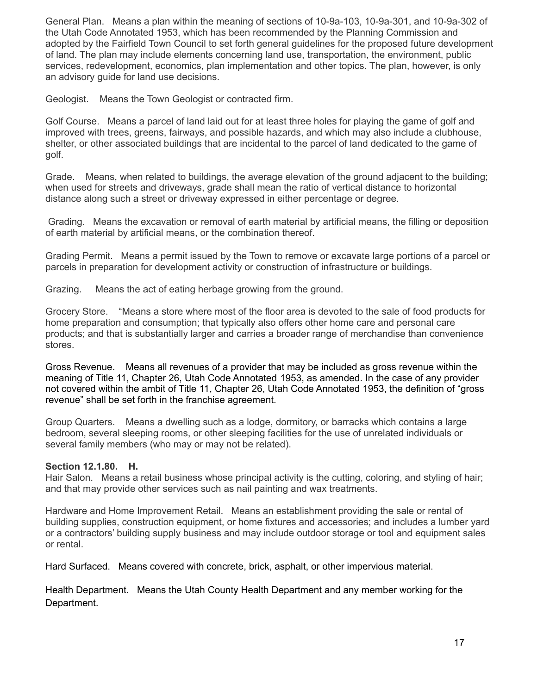General Plan. Means a plan within the meaning of sections of 10-9a-103, 10-9a-301, and 10-9a-302 of the Utah Code Annotated 1953, which has been recommended by the Planning Commission and adopted by the Fairfield Town Council to set forth general guidelines for the proposed future development of land. The plan may include elements concerning land use, transportation, the environment, public services, redevelopment, economics, plan implementation and other topics. The plan, however, is only an advisory guide for land use decisions.

Geologist. Means the Town Geologist or contracted firm.

Golf Course. Means a parcel of land laid out for at least three holes for playing the game of golf and improved with trees, greens, fairways, and possible hazards, and which may also include a clubhouse, shelter, or other associated buildings that are incidental to the parcel of land dedicated to the game of golf.

Grade. Means, when related to buildings, the average elevation of the ground adjacent to the building; when used for streets and driveways, grade shall mean the ratio of vertical distance to horizontal distance along such a street or driveway expressed in either percentage or degree.

Grading. Means the excavation or removal of earth material by artificial means, the filling or deposition of earth material by artificial means, or the combination thereof.

Grading Permit. Means a permit issued by the Town to remove or excavate large portions of a parcel or parcels in preparation for development activity or construction of infrastructure or buildings.

Grazing. Means the act of eating herbage growing from the ground.

Grocery Store. "Means a store where most of the floor area is devoted to the sale of food products for home preparation and consumption; that typically also offers other home care and personal care products; and that is substantially larger and carries a broader range of merchandise than convenience stores.

Gross Revenue. Means all revenues of a provider that may be included as gross revenue within the meaning of Title [11](https://www.codepublishing.com/cgi-bin/uca.pl?cite=11), Chapter [26,](https://www.codepublishing.com/cgi-bin/uca.pl?cite=11-26) Utah Code Annotated 1953, as amended. In the case of any provider not covered within the ambit of Title [11,](https://www.codepublishing.com/cgi-bin/uca.pl?cite=11) Chapter [26](https://www.codepublishing.com/cgi-bin/uca.pl?cite=11-26), Utah Code Annotated 1953, the definition of "gross revenue" shall be set forth in the franchise agreement.

Group Quarters. Means a dwelling such as a lodge, dormitory, or barracks which contains a large bedroom, several sleeping rooms, or other sleeping facilities for the use of unrelated individuals or several family members (who may or may not be related).

# **Section 12.1.80. H.**

Hair Salon. Means a retail business whose principal activity is the cutting, coloring, and styling of hair; and that may provide other services such as nail painting and wax treatments.

Hardware and Home Improvement Retail. Means an establishment providing the sale or rental of building supplies, construction equipment, or home fixtures and accessories; and includes a lumber yard or a contractors' building supply business and may include outdoor storage or tool and equipment sales or rental.

Hard Surfaced. Means covered with concrete, brick, asphalt, or other impervious material.

Health Department. Means the Utah County Health Department and any member working for the Department.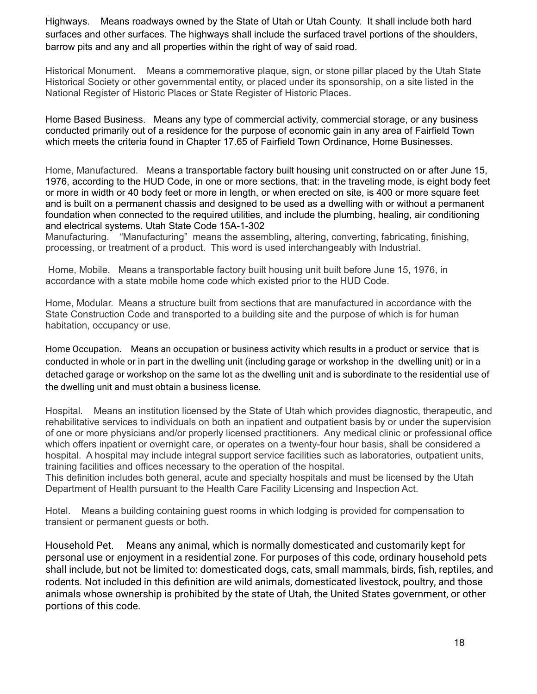Highways. Means roadways owned by the State of Utah or Utah County. It shall include both hard surfaces and other surfaces. The highways shall include the surfaced travel portions of the shoulders, barrow pits and any and all properties within the right of way of said road.

Historical Monument. Means a commemorative plaque, sign, or stone pillar placed by the Utah State Historical Society or other governmental entity, or placed under its sponsorship, on a site listed in the National Register of Historic Places or State Register of Historic Places.

Home Based Business. Means any type of commercial activity, commercial storage, or any business conducted primarily out of a residence for the purpose of economic gain in any area of Fairfield Town which meets the criteria found in Chapter 17.65 of Fairfield Town Ordinance, Home Businesses.

Home, Manufactured. Means a transportable factory built housing unit constructed on or after June 15, 1976, according to the HUD Code, in one or more sections, that: in the traveling mode, is eight body feet or more in width or 40 body feet or more in length, or when erected on site, is 400 or more square feet and is built on a permanent chassis and designed to be used as a dwelling with or without a permanent foundation when connected to the required utilities, and include the plumbing, healing, air conditioning and electrical systems. Utah State Code 15A-1-302

Manufacturing. "Manufacturing" means the assembling, altering, converting, fabricating, finishing, processing, or treatment of a product. This word is used interchangeably with Industrial.

Home, Mobile. Means a transportable factory built housing unit built before June 15, 1976, in accordance with a state mobile home code which existed prior to the HUD Code.

Home, Modular. Means a structure built from sections that are manufactured in accordance with the State Construction Code and transported to a building site and the purpose of which is for human habitation, occupancy or use.

Home Occupation. Means an occupation or business activity which results in a product or service that is conducted in whole or in part in the dwelling unit (including garage or workshop in the dwelling unit) or in a detached garage or workshop on the same lot as the dwelling unit and is subordinate to the residential use of the dwelling unit and must obtain a business license.

Hospital. Means an institution licensed by the State of Utah which provides diagnostic, therapeutic, and rehabilitative services to individuals on both an inpatient and outpatient basis by or under the supervision of one or more physicians and/or properly licensed practitioners. Any medical clinic or professional office which offers inpatient or overnight care, or operates on a twenty-four hour basis, shall be considered a hospital. A hospital may include integral support service facilities such as laboratories, outpatient units, training facilities and offices necessary to the operation of the hospital.

This definition includes both general, acute and specialty hospitals and must be licensed by the Utah Department of Health pursuant to the Health Care Facility Licensing and Inspection Act.

Hotel. Means a building containing guest rooms in which lodging is provided for compensation to transient or permanent guests or both.

Household Pet. Means any animal, which is [normally](https://www.lawinsider.com/clause/normally) [domesticated](https://www.lawinsider.com/dictionary/domesticated) and [customarily](https://www.lawinsider.com/dictionary/customarily) kept for [personal](https://www.lawinsider.com/clause/personal-use) use or [enjoyment](https://www.lawinsider.com/clause/enjoyment) in a [residential](https://www.lawinsider.com/dictionary/residential-zone) zone. For purposes of this [code](https://www.lawinsider.com/dictionary/this-code), [ordinary](https://www.lawinsider.com/clause/ordinary) [household](https://www.lawinsider.com/clause/household-pets) pets shall include, but not be [limited](https://www.lawinsider.com/clause/limited) to: domesticated [dogs,](https://www.lawinsider.com/clause/dogs) [cats](https://www.lawinsider.com/clause/cats), [small](https://www.lawinsider.com/clause/small) mammals, [birds,](https://www.lawinsider.com/clause/birds) [fish,](https://www.lawinsider.com/clause/fish) [reptiles](https://www.lawinsider.com/dictionary/reptiles), and rodents. Not [included](https://www.lawinsider.com/clause/not-included) in this [definition](https://www.lawinsider.com/clause/definition) are wild [animals](https://www.lawinsider.com/clause/wild-animals), domesticated [livestock](https://www.lawinsider.com/clause/livestock), [poultry,](https://www.lawinsider.com/clause/poultry) and those animals whose [ownership](https://www.lawinsider.com/clause/ownership) is [prohibited](https://www.lawinsider.com/clause/prohibited) by the [state](https://www.lawinsider.com/clause/state-of-california) of Utah, the United States [government](https://www.lawinsider.com/clause/united-states-government), or other [portions](https://www.lawinsider.com/clause/portions) of this code.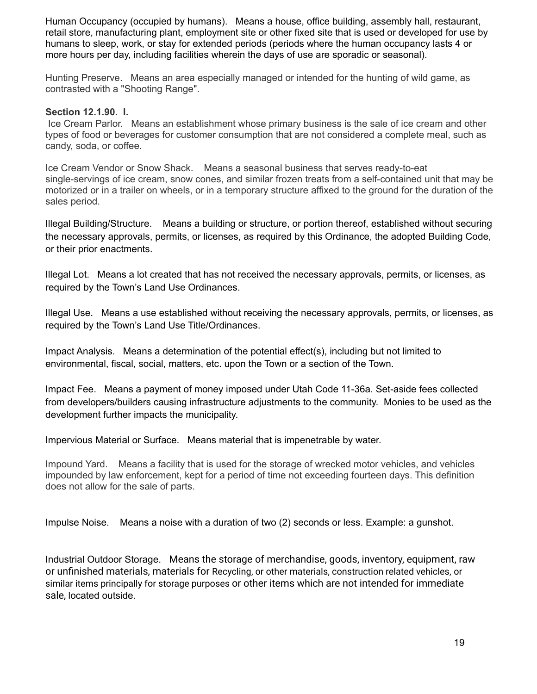Human Occupancy (occupied by humans). Means a house, office building, assembly hall, restaurant, retail store, manufacturing plant, employment site or other fixed site that is used or developed for use by humans to sleep, work, or stay for extended periods (periods where the human occupancy lasts 4 or more hours per day, including facilities wherein the days of use are sporadic or seasonal).

Hunting Preserve. Means an area especially managed or intended for the hunting of wild game, as contrasted with a "Shooting Range".

#### **Section 12.1.90. I.**

Ice Cream Parlor. Means an establishment whose primary business is the sale of ice cream and other types of food or beverages for customer consumption that are not considered a complete meal, such as candy, soda, or coffee.

Ice Cream Vendor or Snow Shack. Means a seasonal business that serves ready-to-eat single-servings of ice cream, snow cones, and similar frozen treats from a self-contained unit that may be motorized or in a trailer on wheels, or in a temporary structure affixed to the ground for the duration of the sales period.

Illegal Building/Structure. Means a building or structure, or portion thereof, established without securing the necessary approvals, permits, or licenses, as required by this Ordinance, the adopted Building Code, or their prior enactments.

Illegal Lot. Means a lot created that has not received the necessary approvals, permits, or licenses, as required by the Town's Land Use Ordinances.

Illegal Use. Means a use established without receiving the necessary approvals, permits, or licenses, as required by the Town's Land Use Title/Ordinances.

Impact Analysis. Means a determination of the potential effect(s), including but not limited to environmental, fiscal, social, matters, etc. upon the Town or a section of the Town.

Impact Fee. Means a payment of money imposed under Utah Code 11-36a. Set-aside fees collected from developers/builders causing infrastructure adjustments to the community. Monies to be used as the development further impacts the municipality.

Impervious Material or Surface. Means material that is impenetrable by water.

Impound Yard. Means a facility that is used for the storage of wrecked motor vehicles, and vehicles impounded by law enforcement, kept for a period of time not exceeding fourteen days. This definition does not allow for the sale of parts.

Impulse Noise. Means a noise with a duration of two (2) seconds or less. Example: a gunshot.

Industrial Outdoor Storage. Means the storage of merchandise, goods, inventory, equipment, raw or unfinished materials, materials for Recycling, or other materials, construction related vehicles, or similar items principally for storage purposes or other items which are not intended for immediate sale, located outside.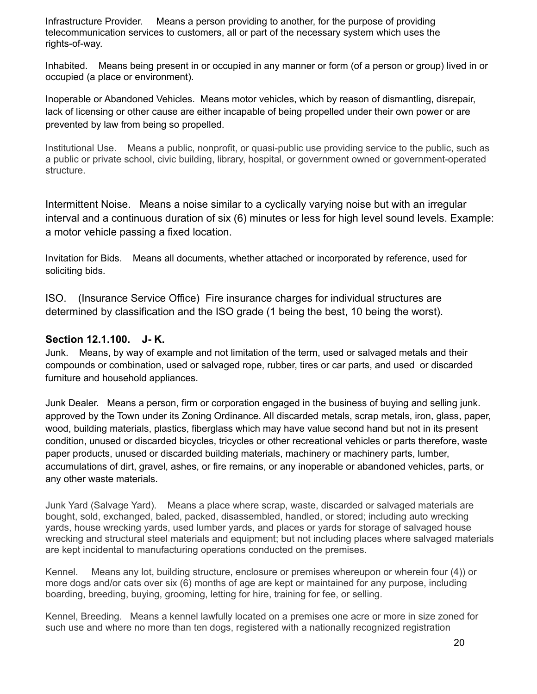Infrastructure Provider. Means a person providing to another, for the purpose of providing telecommunication services to customers, all or part of the necessary system which uses the rights-of-way.

Inhabited. Means being present in or occupied in any manner or form (of a person or group) lived in or occupied (a place or environment).

Inoperable or Abandoned Vehicles. Means motor vehicles, which by reason of dismantling, disrepair, lack of licensing or other cause are either incapable of being propelled under their own power or are prevented by law from being so propelled.

Institutional Use. Means a public, nonprofit, or quasi-public use providing service to the public, such as a public or private school, civic building, library, hospital, or government owned or government-operated structure.

Intermittent Noise. Means a noise similar to a cyclically varying noise but with an irregular interval and a continuous duration of six (6) minutes or less for high level sound levels. Example: a motor vehicle passing a fixed location.

Invitation for Bids. Means all documents, whether attached or incorporated by reference, used for soliciting bids.

ISO. (Insurance Service Office) Fire insurance charges for individual structures are determined by classification and the ISO grade (1 being the best, 10 being the worst).

# **Section 12.1.100. J- K.**

Junk. Means, by way of example and not limitation of the term, used or salvaged metals and their compounds or combination, used or salvaged rope, rubber, tires or car parts, and used or discarded furniture and household appliances.

Junk Dealer. Means a person, firm or corporation engaged in the business of buying and selling junk. approved by the Town under its Zoning Ordinance. All discarded metals, scrap metals, iron, glass, paper, wood, building materials, plastics, fiberglass which may have value second hand but not in its present condition, unused or discarded bicycles, tricycles or other recreational vehicles or parts therefore, waste paper products, unused or discarded building materials, machinery or machinery parts, lumber, accumulations of dirt, gravel, ashes, or fire remains, or any inoperable or abandoned vehicles, parts, or any other waste materials.

Junk Yard (Salvage Yard). Means a place where scrap, waste, discarded or salvaged materials are bought, sold, exchanged, baled, packed, disassembled, handled, or stored; including auto wrecking yards, house wrecking yards, used lumber yards, and places or yards for storage of salvaged house wrecking and structural steel materials and equipment; but not including places where salvaged materials are kept incidental to manufacturing operations conducted on the premises.

Kennel. Means any lot, building structure, enclosure or premises whereupon or wherein four (4)) or more dogs and/or cats over six (6) months of age are kept or maintained for any purpose, including boarding, breeding, buying, grooming, letting for hire, training for fee, or selling.

Kennel, Breeding. Means a kennel lawfully located on a premises one acre or more in size zoned for such use and where no more than ten dogs, registered with a nationally recognized registration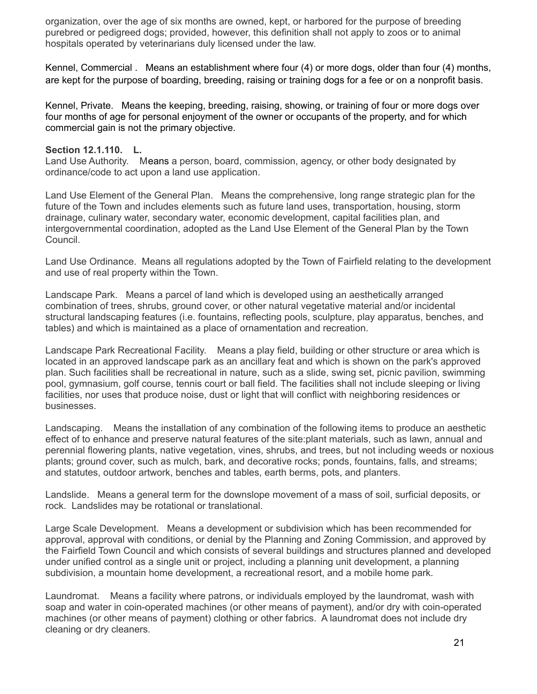organization, over the age of six months are owned, kept, or harbored for the purpose of breeding purebred or pedigreed dogs; provided, however, this definition shall not apply to zoos or to animal hospitals operated by veterinarians duly licensed under the law.

Kennel, Commercial . Means an establishment where four (4) or more dogs, older than four (4) months, are kept for the purpose of boarding, breeding, raising or training dogs for a fee or on a nonprofit basis.

Kennel, Private. Means the keeping, breeding, raising, showing, or training of four or more dogs over four months of age for personal enjoyment of the owner or occupants of the property, and for which commercial gain is not the primary objective.

# **Section 12.1.110. L.**

Land Use Authority. Means a person, board, commission, agency, or other body designated by ordinance/code to act upon a land use application.

Land Use Element of the General Plan. Means the comprehensive, long range strategic plan for the future of the Town and includes elements such as future land uses, transportation, housing, storm drainage, culinary water, secondary water, economic development, capital facilities plan, and intergovernmental coordination, adopted as the Land Use Element of the General Plan by the Town Council.

Land Use Ordinance. Means all regulations adopted by the Town of Fairfield relating to the development and use of real property within the Town.

Landscape Park. Means a parcel of land which is developed using an aesthetically arranged combination of trees, shrubs, ground cover, or other natural vegetative material and/or incidental structural landscaping features (i.e. fountains, reflecting pools, sculpture, play apparatus, benches, and tables) and which is maintained as a place of ornamentation and recreation.

Landscape Park Recreational Facility. Means a play field, building or other structure or area which is located in an approved landscape park as an ancillary feat and which is shown on the park's approved plan. Such facilities shall be recreational in nature, such as a slide, swing set, picnic pavilion, swimming pool, gymnasium, golf course, tennis court or ball field. The facilities shall not include sleeping or living facilities, nor uses that produce noise, dust or light that will conflict with neighboring residences or businesses.

Landscaping. Means the installation of any combination of the following items to produce an aesthetic effect of to enhance and preserve natural features of the site:plant materials, such as lawn, annual and perennial flowering plants, native vegetation, vines, shrubs, and trees, but not including weeds or noxious plants; ground cover, such as mulch, bark, and decorative rocks; ponds, fountains, falls, and streams; and statutes, outdoor artwork, benches and tables, earth berms, pots, and planters.

Landslide. Means a general term for the downslope movement of a mass of soil, surficial deposits, or rock. Landslides may be rotational or translational.

Large Scale Development. Means a development or subdivision which has been recommended for approval, approval with conditions, or denial by the Planning and Zoning Commission, and approved by the Fairfield Town Council and which consists of several buildings and structures planned and developed under unified control as a single unit or project, including a planning unit development, a planning subdivision, a mountain home development, a recreational resort, and a mobile home park.

Laundromat. Means a facility where patrons, or individuals employed by the laundromat, wash with soap and water in coin-operated machines (or other means of payment), and/or dry with coin-operated machines (or other means of payment) clothing or other fabrics. A laundromat does not include dry cleaning or dry cleaners.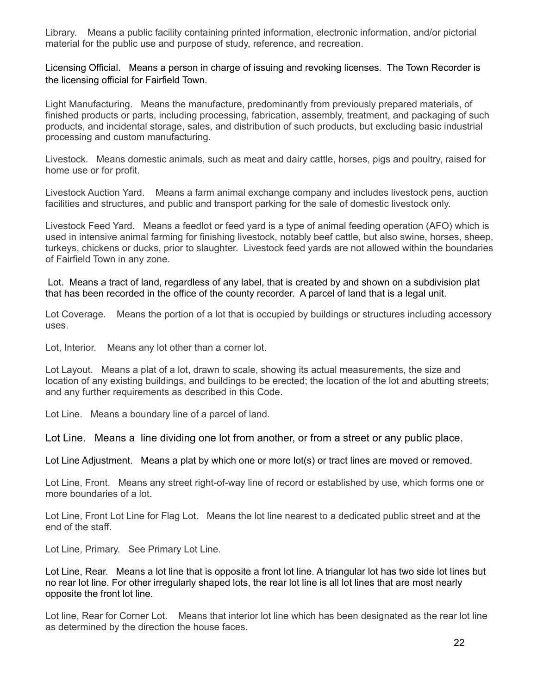Library. Means a public facility containing printed information, electronic information, and/or pictorial material for the public use and purpose of study, reference, and recreation.

Licensing Official. Means a person in charge of issuing and revoking licenses. The Town Recorder is the licensing official for Fairfield Town.

Light Manufacturing. Means the manufacture, predominantly from previously prepared materials, of finished products or parts, including processing, fabrication, assembly, treatment, and packaging of such products, and incidental storage, sales, and distribution of such products, but excluding basic industrial processing and custom manufacturing.

Livestock. Means domestic animals, such as meat and dairy cattle, horses, pigs and poultry, raised for home use or for profit.

Livestock Auction Yard. Means a farm animal exchange company and includes livestock pens, auction facilities and structures, and public and transport parking for the sale of domestic livestock only.

Livestock Feed Yard. Means a feedlot or feed yard is a type of animal feeding operation (AFO) which is used in intensive animal farming for finishing livestock, notably beef cattle, but also swine, horses, sheep, turkeys, chickens or ducks, prior to slaughter. Livestock feed yards are not allowed within the boundaries of Fairfield Town in any zone.

Lot. Means a tract of land, regardless of any label, that is created by and shown on a subdivision plat that has been recorded in the office of the county recorder. A parcel of land that is a legal unit.

Lot Coverage. Means the portion of a lot that is occupied by buildings or structures including accessory uses.

Lot, Interior. Means any lot other than a corner lot.

Lot Layout. Means a plat of a lot, drawn to scale, showing its actual measurements, the size and location of any existing buildings, and buildings to be erected; the location of the lot and abutting streets; and any further requirements as described in this Code.

Lot Line. Means a boundary line of a parcel of land.

Lot Line. Means a line dividing one lot from another, or from a street or any public place.

Lot Line Adjustment. Means a plat by which one or more lot(s) or tract lines are moved or removed.

Lot Line, Front. Means any street right-of-way line of record or established by use, which forms one or more boundaries of a lot.

Lot Line, Front Lot Line for Flag Lot. Means the lot line nearest to a dedicated public street and at the end of the staff.

Lot Line, Primary. See Primary Lot Line.

Lot Line, Rear. Means a lot line that is opposite a front lot line. A triangular lot has two side lot lines but no rear lot line. For other irregularly shaped lots, the rear lot line is all lot lines that are most nearly opposite the front lot line.

Lot line, Rear for Corner Lot. Means that interior lot line which has been designated as the rear lot line as determined by the direction the house faces.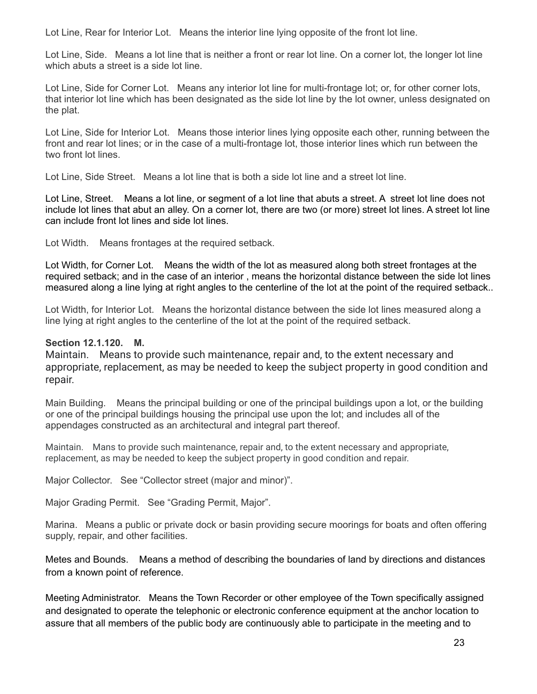Lot Line, Rear for Interior Lot. Means the interior line lying opposite of the front lot line.

Lot Line, Side. Means a lot line that is neither a front or rear lot line. On a corner lot, the longer lot line which abuts a street is a side lot line.

Lot Line, Side for Corner Lot. Means any interior lot line for multi-frontage lot; or, for other corner lots, that interior lot line which has been designated as the side lot line by the lot owner, unless designated on the plat.

Lot Line, Side for Interior Lot. Means those interior lines lying opposite each other, running between the front and rear lot lines; or in the case of a multi-frontage lot, those interior lines which run between the two front lot lines.

Lot Line, Side Street. Means a lot line that is both a side lot line and a street lot line.

Lot Line, Street. Means a lot line, or segment of a lot line that abuts a street. A street lot line does not include lot lines that abut an alley. On a corner lot, there are two (or more) street lot lines. A street lot line can include front lot lines and side lot lines.

Lot Width. Means frontages at the required setback.

Lot Width, for Corner Lot. Means the width of the lot as measured along both street frontages at the required setback; and in the case of an interior , means the horizontal distance between the side lot lines measured along a line lying at right angles to the centerline of the lot at the point of the required setback..

Lot Width, for Interior Lot. Means the horizontal distance between the side lot lines measured along a line lying at right angles to the centerline of the lot at the point of the required setback.

# **Section 12.1.120. M.**

Maintain. Means to provide such maintenance, repair and, to the extent necessary and appropriate, replacement, as may be needed to keep the subject property in good condition and repair.

Main Building. Means the principal building or one of the principal buildings upon a lot, or the building or one of the principal buildings housing the principal use upon the lot; and includes all of the appendages constructed as an architectural and integral part thereof.

Maintain. Mans to provide such maintenance, repair and, to the extent necessary and appropriate, replacement, as may be needed to keep the subject property in good condition and repair.

Major Collector. See "Collector street (major and minor)".

Major Grading Permit. See "Grading Permit, Major".

Marina. Means a public or private dock or basin providing secure moorings for boats and often offering supply, repair, and other facilities.

Metes and Bounds. Means a method of describing the boundaries of land by directions and distances from a known point of reference.

Meeting Administrator. Means the Town Recorder or other employee of the Town specifically assigned and designated to operate the telephonic or electronic conference equipment at the anchor location to assure that all members of the public body are continuously able to participate in the meeting and to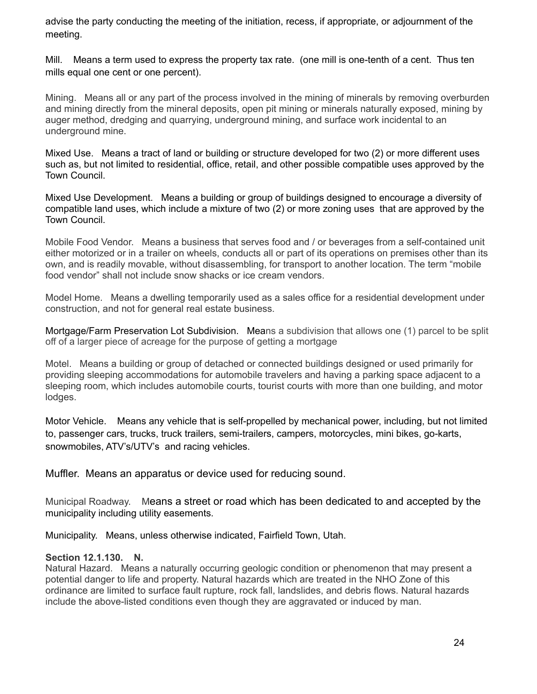advise the party conducting the meeting of the initiation, recess, if appropriate, or adjournment of the meeting.

Mill. Means a term used to express the property tax rate. (one mill is one-tenth of a cent. Thus ten mills equal one cent or one percent).

Mining. Means all or any part of the process involved in the mining of minerals by removing overburden and mining directly from the mineral deposits, open pit mining or minerals naturally exposed, mining by auger method, dredging and quarrying, underground mining, and surface work incidental to an underground mine.

Mixed Use. Means a tract of land or building or structure developed for two (2) or more different uses such as, but not limited to residential, office, retail, and other possible compatible uses approved by the Town Council.

Mixed Use Development. Means a building or group of buildings designed to encourage a diversity of compatible land uses, which include a mixture of two (2) or more zoning uses that are approved by the Town Council.

Mobile Food Vendor. Means a business that serves food and / or beverages from a self-contained unit either motorized or in a trailer on wheels, conducts all or part of its operations on premises other than its own, and is readily movable, without disassembling, for transport to another location. The term "mobile food vendor" shall not include snow shacks or ice cream vendors.

Model Home. Means a dwelling temporarily used as a sales office for a residential development under construction, and not for general real estate business.

Mortgage/Farm Preservation Lot Subdivision. Means a subdivision that allows one (1) parcel to be split off of a larger piece of acreage for the purpose of getting a mortgage

Motel. Means a building or group of detached or connected buildings designed or used primarily for providing sleeping accommodations for automobile travelers and having a parking space adjacent to a sleeping room, which includes automobile courts, tourist courts with more than one building, and motor lodges.

Motor Vehicle. Means any vehicle that is self-propelled by mechanical power, including, but not limited to, passenger cars, trucks, truck trailers, semi-trailers, campers, motorcycles, mini bikes, go-karts, snowmobiles, ATV's/UTV's and racing vehicles.

Muffler. Means an apparatus or device used for reducing sound.

Municipal Roadway. Means a street or road which has been dedicated to and accepted by the municipality including utility easements.

Municipality. Means, unless otherwise indicated, Fairfield Town, Utah.

# **Section 12.1.130. N.**

Natural Hazard. Means a naturally occurring geologic condition or phenomenon that may present a potential danger to life and property. Natural hazards which are treated in the NHO Zone of this ordinance are limited to surface fault rupture, rock fall, landslides, and debris flows. Natural hazards include the above-listed conditions even though they are aggravated or induced by man.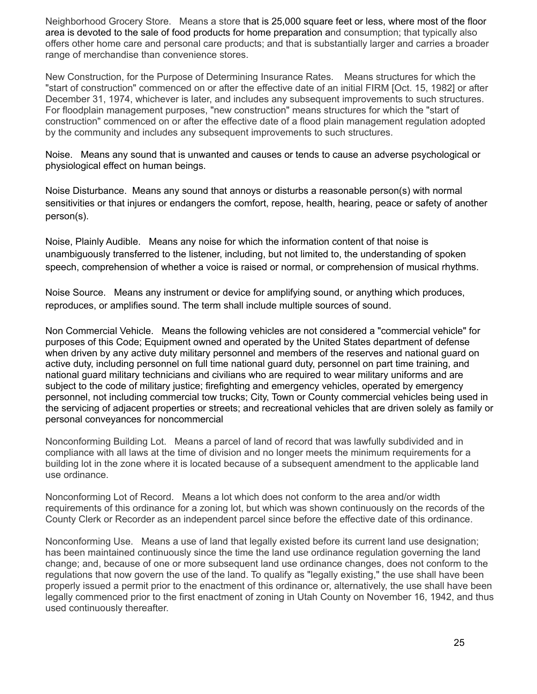Neighborhood Grocery Store. Means a store that is 25,000 square feet or less, where most of the floor area is devoted to the sale of food products for home preparation and consumption; that typically also offers other home care and personal care products; and that is substantially larger and carries a broader range of merchandise than convenience stores.

New Construction, for the Purpose of Determining Insurance Rates. Means structures for which the "start of construction" commenced on or after the effective date of an initial FIRM [Oct. 15, 1982] or after December 31, 1974, whichever is later, and includes any subsequent improvements to such structures. For floodplain management purposes, "new construction" means structures for which the "start of construction" commenced on or after the effective date of a flood plain management regulation adopted by the community and includes any subsequent improvements to such structures.

Noise. Means any sound that is unwanted and causes or tends to cause an adverse psychological or physiological effect on human beings.

Noise Disturbance. Means any sound that annoys or disturbs a reasonable person(s) with normal sensitivities or that injures or endangers the comfort, repose, health, hearing, peace or safety of another person(s).

Noise, Plainly Audible. Means any noise for which the information content of that noise is unambiguously transferred to the listener, including, but not limited to, the understanding of spoken speech, comprehension of whether a voice is raised or normal, or comprehension of musical rhythms.

Noise Source. Means any instrument or device for amplifying sound, or anything which produces, reproduces, or amplifies sound. The term shall include multiple sources of sound.

Non Commercial Vehicle. Means the following vehicles are not considered a "commercial vehicle" for purposes of this Code; Equipment owned and operated by the United States department of defense when driven by any active duty military personnel and members of the reserves and national guard on active duty, including personnel on full time national guard duty, personnel on part time training, and national guard military technicians and civilians who are required to wear military uniforms and are subject to the code of military justice; firefighting and emergency vehicles, operated by emergency personnel, not including commercial tow trucks; City, Town or County commercial vehicles being used in the servicing of adjacent properties or streets; and recreational vehicles that are driven solely as family or personal conveyances for noncommercial

Nonconforming Building Lot. Means a parcel of land of record that was lawfully subdivided and in compliance with all laws at the time of division and no longer meets the minimum requirements for a building lot in the zone where it is located because of a subsequent amendment to the applicable land use ordinance.

Nonconforming Lot of Record. Means a lot which does not conform to the area and/or width requirements of this ordinance for a zoning lot, but which was shown continuously on the records of the County Clerk or Recorder as an independent parcel since before the effective date of this ordinance.

Nonconforming Use. Means a use of land that legally existed before its current land use designation; has been maintained continuously since the time the land use ordinance regulation governing the land change; and, because of one or more subsequent land use ordinance changes, does not conform to the regulations that now govern the use of the land. To qualify as "legally existing," the use shall have been properly issued a permit prior to the enactment of this ordinance or, alternatively, the use shall have been legally commenced prior to the first enactment of zoning in Utah County on November 16, 1942, and thus used continuously thereafter.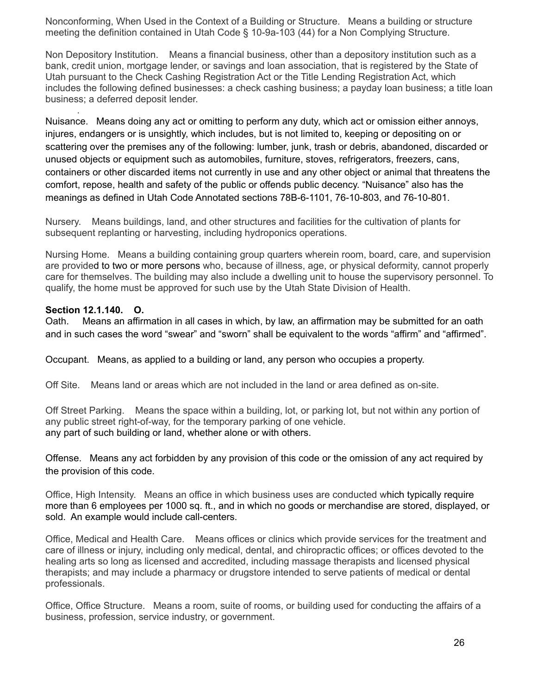Nonconforming, When Used in the Context of a Building or Structure. Means a building or structure meeting the definition contained in Utah Code § 10-9a-103 (44) for a Non Complying Structure.

Non Depository Institution. Means a financial business, other than a depository institution such as a bank, credit union, mortgage lender, or savings and loan association, that is registered by the State of Utah pursuant to the Check Cashing Registration Act or the Title Lending Registration Act, which includes the following defined businesses: a check cashing business; a payday loan business; a title loan business; a deferred deposit lender.

Nuisance. Means doing any act or omitting to perform any duty, which act or omission either annoys, injures, endangers or is unsightly, which includes, but is not limited to, keeping or depositing on or scattering over the premises any of the following: lumber, junk, trash or debris, abandoned, discarded or unused objects or equipment such as automobiles, furniture, stoves, refrigerators, freezers, cans, containers or other discarded items not currently in use and any other object or animal that threatens the comfort, repose, health and safety of the public or offends public decency. "Nuisance" also has the meanings as defined in Utah Code Annotated sections 78B-6-1101, 76-10-803, and 76-10-801.

Nursery. Means buildings, land, and other structures and facilities for the cultivation of plants for subsequent replanting or harvesting, including hydroponics operations.

Nursing Home. Means a building containing group quarters wherein room, board, care, and supervision are provided to two or more persons who, because of illness, age, or physical deformity, cannot properly care for themselves. The building may also include a dwelling unit to house the supervisory personnel. To qualify, the home must be approved for such use by the Utah State Division of Health.

# **Section 12.1.140. O.**

.

Oath. Means an affirmation in all cases in which, by law, an affirmation may be submitted for an oath and in such cases the word "swear" and "sworn" shall be equivalent to the words "affirm" and "affirmed".

Occupant. Means, as applied to a building or land, any person who occupies a property.

Off Site. Means land or areas which are not included in the land or area defined as on-site.

Off Street Parking. Means the space within a building, lot, or parking lot, but not within any portion of any public street right-of-way, for the temporary parking of one vehicle. any part of such building or land, whether alone or with others.

Offense. Means any act forbidden by any provision of this code or the omission of any act required by the provision of this code.

Office, High Intensity. Means an office in which business uses are conducted which typically require more than 6 employees per 1000 sq. ft., and in which no goods or merchandise are stored, displayed, or sold. An example would include call-centers.

Office, Medical and Health Care. Means offices or clinics which provide services for the treatment and care of illness or injury, including only medical, dental, and chiropractic offices; or offices devoted to the healing arts so long as licensed and accredited, including massage therapists and licensed physical therapists; and may include a pharmacy or drugstore intended to serve patients of medical or dental professionals.

Office, Office Structure. Means a room, suite of rooms, or building used for conducting the affairs of a business, profession, service industry, or government.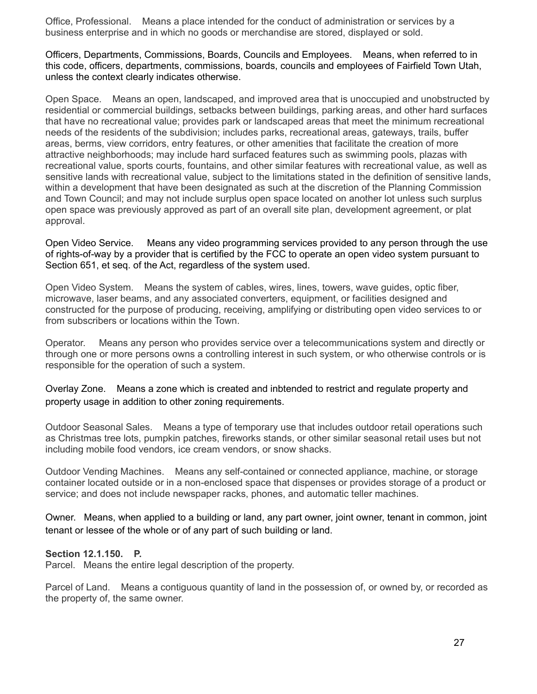Office, Professional. Means a place intended for the conduct of administration or services by a business enterprise and in which no goods or merchandise are stored, displayed or sold.

Officers, Departments, Commissions, Boards, Councils and Employees. Means, when referred to in this code, officers, departments, commissions, boards, councils and employees of Fairfield Town Utah, unless the context clearly indicates otherwise.

Open Space. Means an open, landscaped, and improved area that is unoccupied and unobstructed by residential or commercial buildings, setbacks between buildings, parking areas, and other hard surfaces that have no recreational value; provides park or landscaped areas that meet the minimum recreational needs of the residents of the subdivision; includes parks, recreational areas, gateways, trails, buffer areas, berms, view corridors, entry features, or other amenities that facilitate the creation of more attractive neighborhoods; may include hard surfaced features such as swimming pools, plazas with recreational value, sports courts, fountains, and other similar features with recreational value, as well as sensitive lands with recreational value, subject to the limitations stated in the definition of sensitive lands, within a development that have been designated as such at the discretion of the Planning Commission and Town Council; and may not include surplus open space located on another lot unless such surplus open space was previously approved as part of an overall site plan, development agreement, or plat approval.

Open Video Service. Means any video programming services provided to any person through the use of rights-of-way by a provider that is certified by the FCC to operate an open video system pursuant to Section 651, et seq. of the Act, regardless of the system used.

Open Video System. Means the system of cables, wires, lines, towers, wave guides, optic fiber, microwave, laser beams, and any associated converters, equipment, or facilities designed and constructed for the purpose of producing, receiving, amplifying or distributing open video services to or from subscribers or locations within the Town.

Operator. Means any person who provides service over a telecommunications system and directly or through one or more persons owns a controlling interest in such system, or who otherwise controls or is responsible for the operation of such a system.

Overlay Zone. Means a zone which is created and inbtended to restrict and regulate property and property usage in addition to other zoning requirements.

Outdoor Seasonal Sales. Means a type of temporary use that includes outdoor retail operations such as Christmas tree lots, pumpkin patches, fireworks stands, or other similar seasonal retail uses but not including mobile food vendors, ice cream vendors, or snow shacks.

Outdoor Vending Machines. Means any self-contained or connected appliance, machine, or storage container located outside or in a non-enclosed space that dispenses or provides storage of a product or service; and does not include newspaper racks, phones, and automatic teller machines.

Owner. Means, when applied to a building or land, any part owner, joint owner, tenant in common, joint tenant or lessee of the whole or of any part of such building or land.

# **Section 12.1.150. P.**

Parcel. Means the entire legal description of the property.

Parcel of Land. Means a contiguous quantity of land in the possession of, or owned by, or recorded as the property of, the same owner.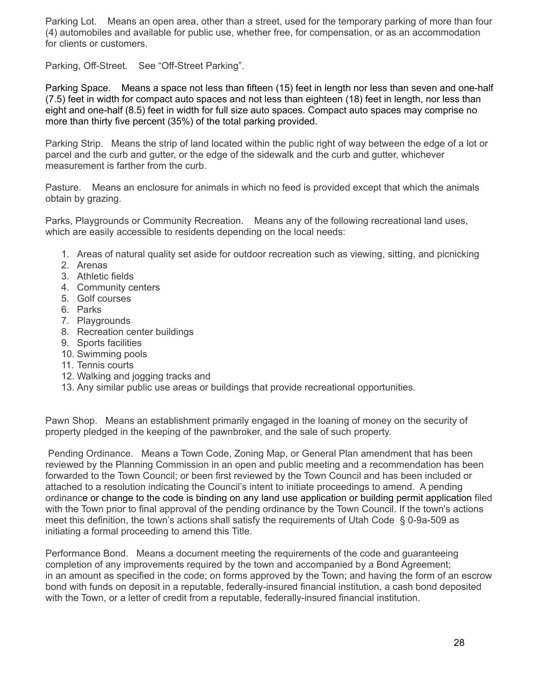Parking Lot. Means an open area, other than a street, used for the temporary parking of more than four (4) automobiles and available for public use, whether free, for compensation, or as an accommodation for clients or customers.

Parking, Off-Street. See "Off-Street Parking".

Parking Space. Means a space not less than fifteen (15) feet in length nor less than seven and one-half (7.5) feet in width for compact auto spaces and not less than eighteen (18) feet in length, nor less than eight and one-half (8.5) feet in width for full size auto spaces. Compact auto spaces may comprise no more than thirty five percent (35%) of the total parking provided.

Parking Strip. Means the strip of land located within the public right of way between the edge of a lot or parcel and the curb and gutter, or the edge of the sidewalk and the curb and gutter, whichever measurement is farther from the curb.

Pasture. Means an enclosure for animals in which no feed is provided except that which the animals obtain by grazing.

Parks, Playgrounds or Community Recreation. Means any of the following recreational land uses, which are easily accessible to residents depending on the local needs:

- 1. Areas of natural quality set aside for outdoor recreation such as viewing, sitting, and picnicking
- 2. Arenas
- 3. Athletic fields
- 4. Community centers
- 5. Golf courses
- 6. Parks
- 7. Playgrounds
- 8. Recreation center buildings
- 9. Sports facilities
- 10. Swimming pools
- 11. Tennis courts
- 12. Walking and jogging tracks and
- 13. Any similar public use areas or buildings that provide recreational opportunities.

Pawn Shop. Means an establishment primarily engaged in the loaning of money on the security of property pledged in the keeping of the pawnbroker, and the sale of such property.

Pending Ordinance. Means a Town Code, Zoning Map, or General Plan amendment that has been reviewed by the Planning Commission in an open and public meeting and a recommendation has been forwarded to the Town Council; or been first reviewed by the Town Council and has been included or attached to a resolution indicating the Council's intent to initiate proceedings to amend. A pending ordinance or change to the code is binding on any land use application or building permit application filed with the Town prior to final approval of the pending ordinance by the Town Council. If the town's actions meet this definition, the town's actions shall satisfy the requirements of Utah Code § 0-9a-509 as initiating a formal proceeding to amend this Title.

Performance Bond. Means a document meeting the requirements of the code and guaranteeing completion of any improvements required by the town and accompanied by a Bond Agreement; in an amount as specified in the code; on forms approved by the Town; and having the form of an escrow bond with funds on deposit in a reputable, federally-insured financial institution, a cash bond deposited with the Town, or a letter of credit from a reputable, federally-insured financial institution.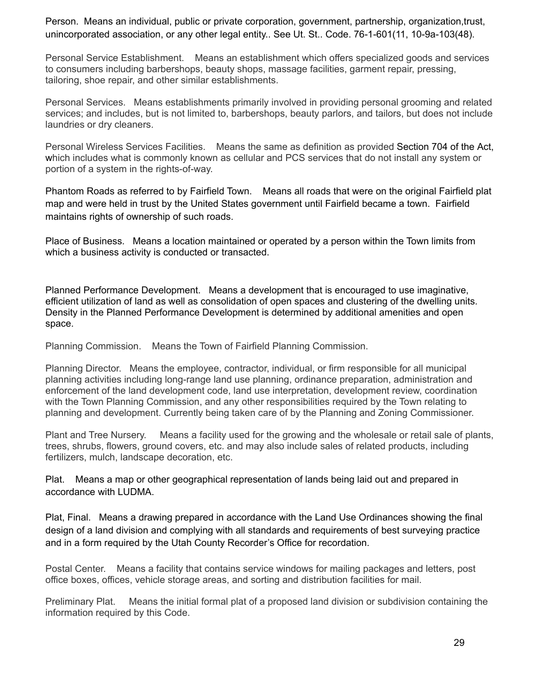Person. Means an individual, public or private corporation, government, partnership, organization,trust, unincorporated association, or any other legal entity.. See Ut. St.. Code. 76-1-601(11, 10-9a-103(48).

Personal Service Establishment. Means an establishment which offers specialized goods and services to consumers including barbershops, beauty shops, massage facilities, garment repair, pressing, tailoring, shoe repair, and other similar establishments.

Personal Services. Means establishments primarily involved in providing personal grooming and related services; and includes, but is not limited to, barbershops, beauty parlors, and tailors, but does not include laundries or dry cleaners.

Personal Wireless Services Facilities. Means the same as definition as provided Section 704 of the Act, which includes what is commonly known as cellular and PCS services that do not install any system or portion of a system in the rights-of-way.

Phantom Roads as referred to by Fairfield Town. Means all roads that were on the original Fairfield plat map and were held in trust by the United States government until Fairfield became a town. Fairfield maintains rights of ownership of such roads.

Place of Business. Means a location maintained or operated by a person within the Town limits from which a business activity is conducted or transacted.

Planned Performance Development. Means a development that is encouraged to use imaginative, efficient utilization of land as well as consolidation of open spaces and clustering of the dwelling units. Density in the Planned Performance Development is determined by additional amenities and open space.

Planning Commission. Means the Town of Fairfield Planning Commission.

Planning Director. Means the employee, contractor, individual, or firm responsible for all municipal planning activities including long-range land use planning, ordinance preparation, administration and enforcement of the land development code, land use interpretation, development review, coordination with the Town Planning Commission, and any other responsibilities required by the Town relating to planning and development. Currently being taken care of by the Planning and Zoning Commissioner.

Plant and Tree Nursery. Means a facility used for the growing and the wholesale or retail sale of plants, trees, shrubs, flowers, ground covers, etc. and may also include sales of related products, including fertilizers, mulch, landscape decoration, etc.

Plat. Means a map or other geographical representation of lands being laid out and prepared in accordance with LUDMA.

Plat, Final. Means a drawing prepared in accordance with the Land Use Ordinances showing the final design of a land division and complying with all standards and requirements of best surveying practice and in a form required by the Utah County Recorder's Office for recordation.

Postal Center. Means a facility that contains service windows for mailing packages and letters, post office boxes, offices, vehicle storage areas, and sorting and distribution facilities for mail.

Preliminary Plat. Means the initial formal plat of a proposed land division or subdivision containing the information required by this Code.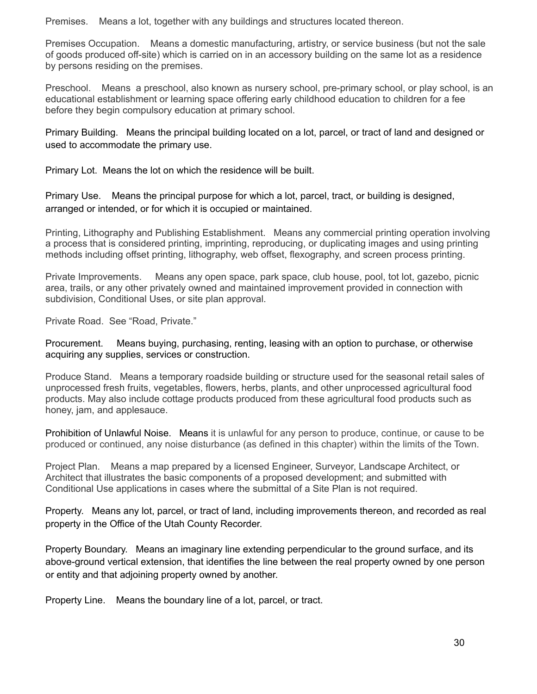Premises. Means a lot, together with any buildings and structures located thereon.

Premises Occupation. Means a domestic manufacturing, artistry, or service business (but not the sale of goods produced off-site) which is carried on in an accessory building on the same lot as a residence by persons residing on the premises.

Preschool. Means a preschool, also known as nursery school, pre-primary school, or play school, is an educational establishment or learning space offering early childhood education to children for a fee before they begin compulsory education at primary school.

Primary Building. Means the principal building located on a lot, parcel, or tract of land and designed or used to accommodate the primary use.

Primary Lot. Means the lot on which the residence will be built.

Primary Use. Means the principal purpose for which a lot, parcel, tract, or building is designed, arranged or intended, or for which it is occupied or maintained.

Printing, Lithography and Publishing Establishment. Means any commercial printing operation involving a process that is considered printing, imprinting, reproducing, or duplicating images and using printing methods including offset printing, lithography, web offset, flexography, and screen process printing.

Private Improvements. Means any open space, park space, club house, pool, tot lot, gazebo, picnic area, trails, or any other privately owned and maintained improvement provided in connection with subdivision, Conditional Uses, or site plan approval.

Private Road. See "Road, Private."

Procurement. Means buying, purchasing, renting, leasing with an option to purchase, or otherwise acquiring any supplies, services or construction.

Produce Stand. Means a temporary roadside building or structure used for the seasonal retail sales of unprocessed fresh fruits, vegetables, flowers, herbs, plants, and other unprocessed agricultural food products. May also include cottage products produced from these agricultural food products such as honey, jam, and applesauce.

Prohibition of Unlawful Noise. Means it is unlawful for any person to produce, continue, or cause to be produced or continued, any noise disturbance (as defined in this chapter) within the limits of the Town.

Project Plan. Means a map prepared by a licensed Engineer, Surveyor, Landscape Architect, or Architect that illustrates the basic components of a proposed development; and submitted with Conditional Use applications in cases where the submittal of a Site Plan is not required.

Property. Means any lot, parcel, or tract of land, including improvements thereon, and recorded as real property in the Office of the Utah County Recorder.

Property Boundary. Means an imaginary line extending perpendicular to the ground surface, and its above-ground vertical extension, that identifies the line between the real property owned by one person or entity and that adjoining property owned by another.

Property Line. Means the boundary line of a lot, parcel, or tract.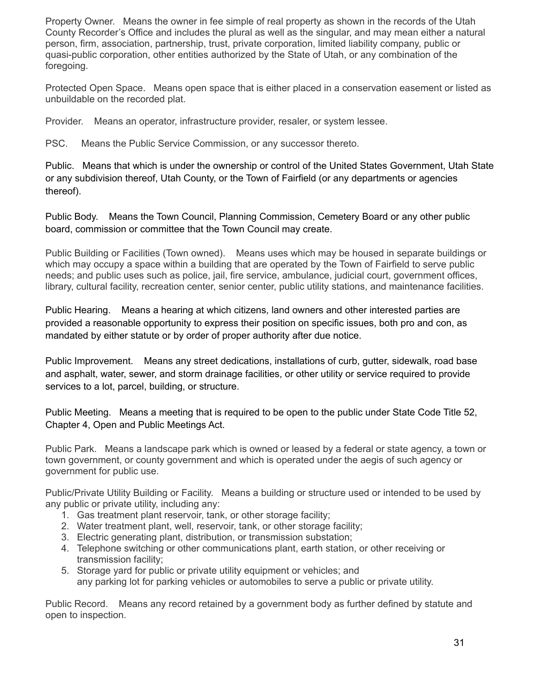Property Owner. Means the owner in fee simple of real property as shown in the records of the Utah County Recorder's Office and includes the plural as well as the singular, and may mean either a natural person, firm, association, partnership, trust, private corporation, limited liability company, public or quasi-public corporation, other entities authorized by the State of Utah, or any combination of the foregoing.

Protected Open Space. Means open space that is either placed in a conservation easement or listed as unbuildable on the recorded plat.

Provider. Means an operator, infrastructure provider, resaler, or system lessee.

PSC. Means the Public Service Commission, or any successor thereto.

Public. Means that which is under the ownership or control of the United States Government, Utah State or any subdivision thereof, Utah County, or the Town of Fairfield (or any departments or agencies thereof).

Public Body. Means the Town Council, Planning Commission, Cemetery Board or any other public board, commission or committee that the Town Council may create.

Public Building or Facilities (Town owned). Means uses which may be housed in separate buildings or which may occupy a space within a building that are operated by the Town of Fairfield to serve public needs; and public uses such as police, jail, fire service, ambulance, judicial court, government offices, library, cultural facility, recreation center, senior center, public utility stations, and maintenance facilities.

Public Hearing. Means a hearing at which citizens, land owners and other interested parties are provided a reasonable opportunity to express their position on specific issues, both pro and con, as mandated by either statute or by order of proper authority after due notice.

Public Improvement. Means any street dedications, installations of curb, gutter, sidewalk, road base and asphalt, water, sewer, and storm drainage facilities, or other utility or service required to provide services to a lot, parcel, building, or structure.

Public Meeting. Means a meeting that is required to be open to the public under State Code Title 52, Chapter 4, Open and Public Meetings Act.

Public Park. Means a landscape park which is owned or leased by a federal or state agency, a town or town government, or county government and which is operated under the aegis of such agency or government for public use.

Public/Private Utility Building or Facility. Means a building or structure used or intended to be used by any public or private utility, including any:

- 1. Gas treatment plant reservoir, tank, or other storage facility;
- 2. Water treatment plant, well, reservoir, tank, or other storage facility;
- 3. Electric generating plant, distribution, or transmission substation;
- 4. Telephone switching or other communications plant, earth station, or other receiving or transmission facility;
- 5. Storage yard for public or private utility equipment or vehicles; and any parking lot for parking vehicles or automobiles to serve a public or private utility.

Public Record. Means any record retained by a government body as further defined by statute and open to inspection.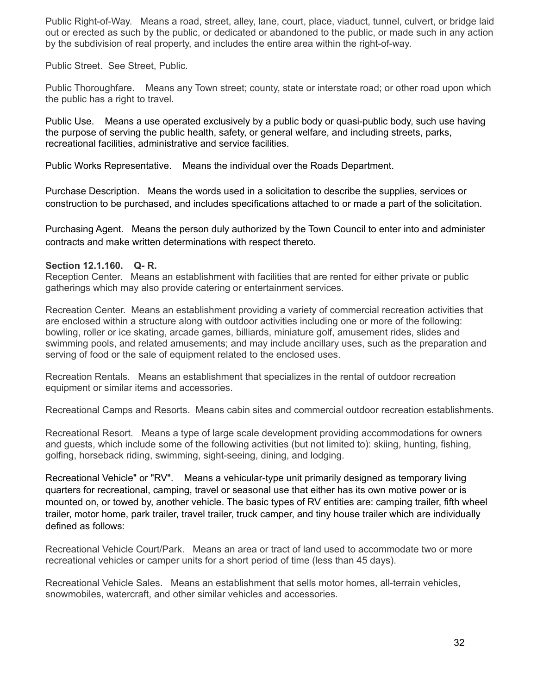Public Right-of-Way. Means a road, street, alley, lane, court, place, viaduct, tunnel, culvert, or bridge laid out or erected as such by the public, or dedicated or abandoned to the public, or made such in any action by the subdivision of real property, and includes the entire area within the right-of-way.

Public Street. See Street, Public.

Public Thoroughfare. Means any Town street; county, state or interstate road; or other road upon which the public has a right to travel.

Public Use. Means a use operated exclusively by a public body or quasi-public body, such use having the purpose of serving the public health, safety, or general welfare, and including streets, parks, recreational facilities, administrative and service facilities.

Public Works Representative. Means the individual over the Roads Department.

Purchase Description. Means the words used in a solicitation to describe the supplies, services or construction to be purchased, and includes specifications attached to or made a part of the solicitation.

Purchasing Agent. Means the person duly authorized by the Town Council to enter into and administer contracts and make written determinations with respect thereto.

# **Section 12.1.160. Q- R.**

Reception Center. Means an establishment with facilities that are rented for either private or public gatherings which may also provide catering or entertainment services.

Recreation Center. Means an establishment providing a variety of commercial recreation activities that are enclosed within a structure along with outdoor activities including one or more of the following: bowling, roller or ice skating, arcade games, billiards, miniature golf, amusement rides, slides and swimming pools, and related amusements; and may include ancillary uses, such as the preparation and serving of food or the sale of equipment related to the enclosed uses.

Recreation Rentals. Means an establishment that specializes in the rental of outdoor recreation equipment or similar items and accessories.

Recreational Camps and Resorts. Means cabin sites and commercial outdoor recreation establishments.

Recreational Resort. Means a type of large scale development providing accommodations for owners and guests, which include some of the following activities (but not limited to): skiing, hunting, fishing, golfing, horseback riding, swimming, sight-seeing, dining, and lodging.

Recreational Vehicle" or "RV". Means a vehicular-type unit primarily designed as temporary living quarters for recreational, camping, travel or seasonal use that either has its own motive power or is mounted on, or towed by, another vehicle. The basic types of RV entities are: camping trailer, fifth wheel trailer, motor home, park trailer, travel trailer, truck camper, and tiny house trailer which are individually defined as follows:

Recreational Vehicle Court/Park. Means an area or tract of land used to accommodate two or more recreational vehicles or camper units for a short period of time (less than 45 days).

Recreational Vehicle Sales. Means an establishment that sells motor homes, all-terrain vehicles, snowmobiles, watercraft, and other similar vehicles and accessories.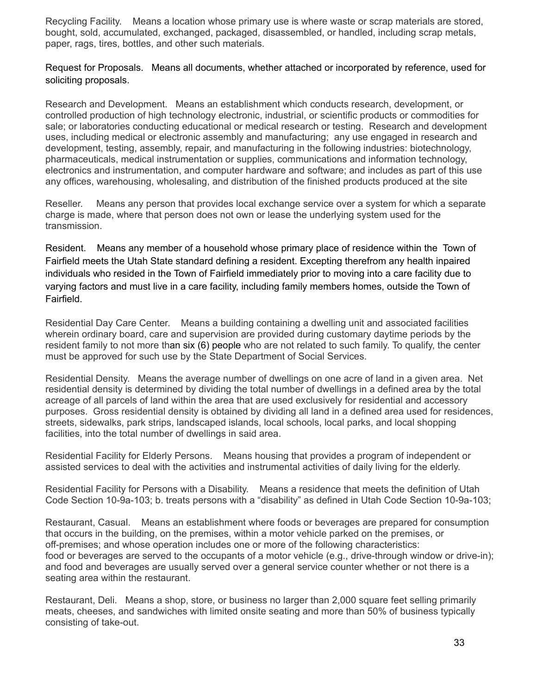Recycling Facility. Means a location whose primary use is where waste or scrap materials are stored, bought, sold, accumulated, exchanged, packaged, disassembled, or handled, including scrap metals, paper, rags, tires, bottles, and other such materials.

Request for Proposals. Means all documents, whether attached or incorporated by reference, used for soliciting proposals.

Research and Development. Means an establishment which conducts research, development, or controlled production of high technology electronic, industrial, or scientific products or commodities for sale; or laboratories conducting educational or medical research or testing. Research and development uses, including medical or electronic assembly and manufacturing; any use engaged in research and development, testing, assembly, repair, and manufacturing in the following industries: biotechnology, pharmaceuticals, medical instrumentation or supplies, communications and information technology, electronics and instrumentation, and computer hardware and software; and includes as part of this use any offices, warehousing, wholesaling, and distribution of the finished products produced at the site

Reseller. Means any person that provides local exchange service over a system for which a separate charge is made, where that person does not own or lease the underlying system used for the transmission.

Resident. Means any member of a household whose primary place of residence within the Town of Fairfield meets the Utah State standard defining a resident. Excepting therefrom any health inpaired individuals who resided in the Town of Fairfield immediately prior to moving into a care facility due to varying factors and must live in a care facility, including family members homes, outside the Town of Fairfield.

Residential Day Care Center. Means a building containing a dwelling unit and associated facilities wherein ordinary board, care and supervision are provided during customary daytime periods by the resident family to not more than six (6) people who are not related to such family. To qualify, the center must be approved for such use by the State Department of Social Services.

Residential Density. Means the average number of dwellings on one acre of land in a given area. Net residential density is determined by dividing the total number of dwellings in a defined area by the total acreage of all parcels of land within the area that are used exclusively for residential and accessory purposes. Gross residential density is obtained by dividing all land in a defined area used for residences, streets, sidewalks, park strips, landscaped islands, local schools, local parks, and local shopping facilities, into the total number of dwellings in said area.

Residential Facility for Elderly Persons. Means housing that provides a program of independent or assisted services to deal with the activities and instrumental activities of daily living for the elderly.

Residential Facility for Persons with a Disability. Means a residence that meets the definition of Utah Code Section 10-9a-103; b. treats persons with a "disability" as defined in Utah Code Section 10-9a-103;

Restaurant, Casual. Means an establishment where foods or beverages are prepared for consumption that occurs in the building, on the premises, within a motor vehicle parked on the premises, or off-premises; and whose operation includes one or more of the following characteristics: food or beverages are served to the occupants of a motor vehicle (e.g., drive-through window or drive-in); and food and beverages are usually served over a general service counter whether or not there is a seating area within the restaurant.

Restaurant, Deli. Means a shop, store, or business no larger than 2,000 square feet selling primarily meats, cheeses, and sandwiches with limited onsite seating and more than 50% of business typically consisting of take-out.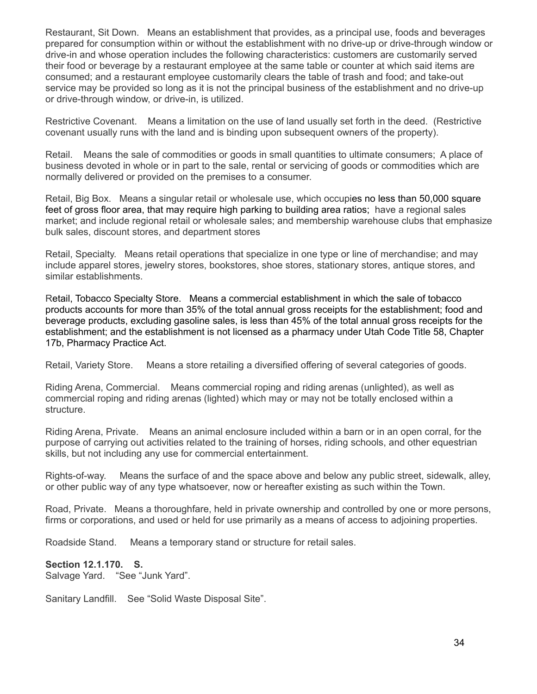Restaurant, Sit Down. Means an establishment that provides, as a principal use, foods and beverages prepared for consumption within or without the establishment with no drive-up or drive-through window or drive-in and whose operation includes the following characteristics: customers are customarily served their food or beverage by a restaurant employee at the same table or counter at which said items are consumed; and a restaurant employee customarily clears the table of trash and food; and take-out service may be provided so long as it is not the principal business of the establishment and no drive-up or drive-through window, or drive-in, is utilized.

Restrictive Covenant. Means a limitation on the use of land usually set forth in the deed. (Restrictive covenant usually runs with the land and is binding upon subsequent owners of the property).

Retail. Means the sale of commodities or goods in small quantities to ultimate consumers; A place of business devoted in whole or in part to the sale, rental or servicing of goods or commodities which are normally delivered or provided on the premises to a consumer.

Retail, Big Box. Means a singular retail or wholesale use, which occupies no less than 50,000 square feet of gross floor area, that may require high parking to building area ratios; have a regional sales market; and include regional retail or wholesale sales; and membership warehouse clubs that emphasize bulk sales, discount stores, and department stores

Retail, Specialty. Means retail operations that specialize in one type or line of merchandise; and may include apparel stores, jewelry stores, bookstores, shoe stores, stationary stores, antique stores, and similar establishments.

Retail, Tobacco Specialty Store. Means a commercial establishment in which the sale of tobacco products accounts for more than 35% of the total annual gross receipts for the establishment; food and beverage products, excluding gasoline sales, is less than 45% of the total annual gross receipts for the establishment; and the establishment is not licensed as a pharmacy under Utah Code Title 58, Chapter 17b, Pharmacy Practice Act.

Retail, Variety Store. Means a store retailing a diversified offering of several categories of goods.

Riding Arena, Commercial. Means commercial roping and riding arenas (unlighted), as well as commercial roping and riding arenas (lighted) which may or may not be totally enclosed within a structure.

Riding Arena, Private. Means an animal enclosure included within a barn or in an open corral, for the purpose of carrying out activities related to the training of horses, riding schools, and other equestrian skills, but not including any use for commercial entertainment.

Rights-of-way. Means the surface of and the space above and below any public street, sidewalk, alley, or other public way of any type whatsoever, now or hereafter existing as such within the Town.

Road, Private. Means a thoroughfare, held in private ownership and controlled by one or more persons, firms or corporations, and used or held for use primarily as a means of access to adjoining properties.

Roadside Stand. Means a temporary stand or structure for retail sales.

# **Section 12.1.170. S.**

Salvage Yard. "See "Junk Yard".

Sanitary Landfill. See "Solid Waste Disposal Site".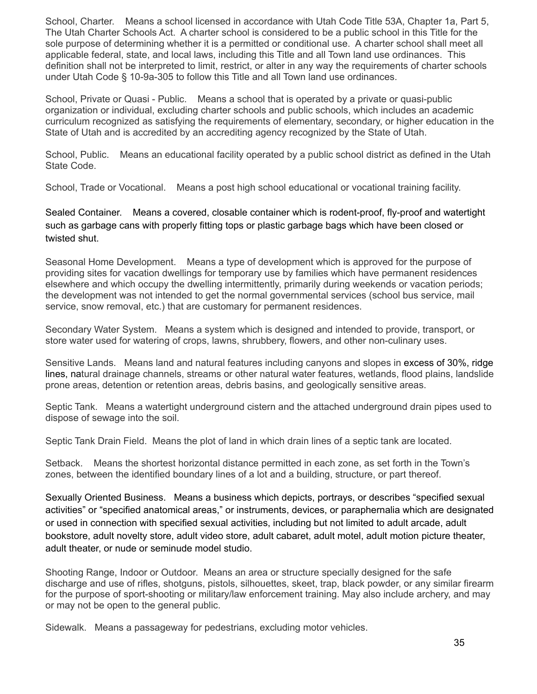School, Charter. Means a school licensed in accordance with Utah Code Title 53A, Chapter 1a, Part 5, The Utah Charter Schools Act. A charter school is considered to be a public school in this Title for the sole purpose of determining whether it is a permitted or conditional use. A charter school shall meet all applicable federal, state, and local laws, including this Title and all Town land use ordinances. This definition shall not be interpreted to limit, restrict, or alter in any way the requirements of charter schools under Utah Code § 10-9a-305 to follow this Title and all Town land use ordinances.

School, Private or Quasi - Public. Means a school that is operated by a private or quasi-public organization or individual, excluding charter schools and public schools, which includes an academic curriculum recognized as satisfying the requirements of elementary, secondary, or higher education in the State of Utah and is accredited by an accrediting agency recognized by the State of Utah.

School, Public. Means an educational facility operated by a public school district as defined in the Utah State Code.

School, Trade or Vocational. Means a post high school educational or vocational training facility.

Sealed Container. Means a covered, closable container which is rodent-proof, fly-proof and watertight such as garbage cans with properly fitting tops or plastic garbage bags which have been closed or twisted shut.

Seasonal Home Development. Means a type of development which is approved for the purpose of providing sites for vacation dwellings for temporary use by families which have permanent residences elsewhere and which occupy the dwelling intermittently, primarily during weekends or vacation periods; the development was not intended to get the normal governmental services (school bus service, mail service, snow removal, etc.) that are customary for permanent residences.

Secondary Water System. Means a system which is designed and intended to provide, transport, or store water used for watering of crops, lawns, shrubbery, flowers, and other non-culinary uses.

Sensitive Lands. Means land and natural features including canyons and slopes in excess of 30%, ridge lines, natural drainage channels, streams or other natural water features, wetlands, flood plains, landslide prone areas, detention or retention areas, debris basins, and geologically sensitive areas.

Septic Tank. Means a watertight underground cistern and the attached underground drain pipes used to dispose of sewage into the soil.

Septic Tank Drain Field. Means the plot of land in which drain lines of a septic tank are located.

Setback. Means the shortest horizontal distance permitted in each zone, as set forth in the Town's zones, between the identified boundary lines of a lot and a building, structure, or part thereof.

Sexually Oriented Business. Means a business which depicts, portrays, or describes "specified sexual activities" or "specified anatomical areas," or instruments, devices, or paraphernalia which are designated or used in connection with specified sexual activities, including but not limited to adult arcade, adult bookstore, adult novelty store, adult video store, adult cabaret, adult motel, adult motion picture theater, adult theater, or nude or seminude model studio.

Shooting Range, Indoor or Outdoor. Means an area or structure specially designed for the safe discharge and use of rifles, shotguns, pistols, silhouettes, skeet, trap, black powder, or any similar firearm for the purpose of sport-shooting or military/law enforcement training. May also include archery, and may or may not be open to the general public.

Sidewalk. Means a passageway for pedestrians, excluding motor vehicles.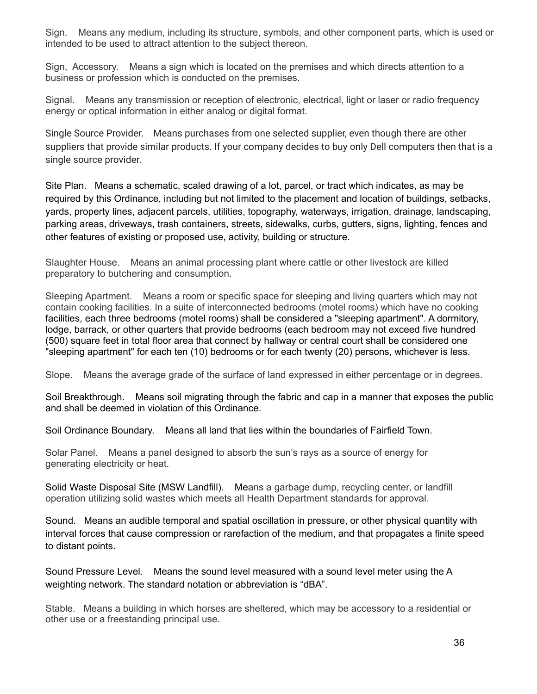Sign. Means any medium, including its structure, symbols, and other component parts, which is used or intended to be used to attract attention to the subject thereon.

Sign, Accessory. Means a sign which is located on the premises and which directs attention to a business or profession which is conducted on the premises.

Signal. Means any transmission or reception of electronic, electrical, light or laser or radio frequency energy or optical information in either analog or digital format.

Single Source Provider. Means purchases from one selected supplier, even though there are other suppliers that provide similar products. If your company decides to buy only Dell computers then that is a single source provider.

Site Plan. Means a schematic, scaled drawing of a lot, parcel, or tract which indicates, as may be required by this Ordinance, including but not limited to the placement and location of buildings, setbacks, yards, property lines, adjacent parcels, utilities, topography, waterways, irrigation, drainage, landscaping, parking areas, driveways, trash containers, streets, sidewalks, curbs, gutters, signs, lighting, fences and other features of existing or proposed use, activity, building or structure.

Slaughter House. Means an animal processing plant where cattle or other livestock are killed preparatory to butchering and consumption.

Sleeping Apartment. Means a room or specific space for sleeping and living quarters which may not contain cooking facilities. In a suite of interconnected bedrooms (motel rooms) which have no cooking facilities, each three bedrooms (motel rooms) shall be considered a "sleeping apartment". A dormitory, lodge, barrack, or other quarters that provide bedrooms (each bedroom may not exceed five hundred (500) square feet in total floor area that connect by hallway or central court shall be considered one "sleeping apartment" for each ten (10) bedrooms or for each twenty (20) persons, whichever is less.

Slope. Means the average grade of the surface of land expressed in either percentage or in degrees.

Soil Breakthrough. Means soil migrating through the fabric and cap in a manner that exposes the public and shall be deemed in violation of this Ordinance.

Soil Ordinance Boundary. Means all land that lies within the boundaries of Fairfield Town.

Solar Panel. Means a panel designed to absorb the sun's rays as a source of energy for generating electricity or heat.

Solid Waste Disposal Site (MSW Landfill). Means a garbage dump, recycling center, or landfill operation utilizing solid wastes which meets all Health Department standards for approval.

Sound. Means an audible temporal and spatial oscillation in pressure, or other physical quantity with interval forces that cause compression or rarefaction of the medium, and that propagates a finite speed to distant points.

Sound Pressure Level. Means the sound level measured with a sound level meter using the A weighting network. The standard notation or abbreviation is "dBA".

Stable. Means a building in which horses are sheltered, which may be accessory to a residential or other use or a freestanding principal use.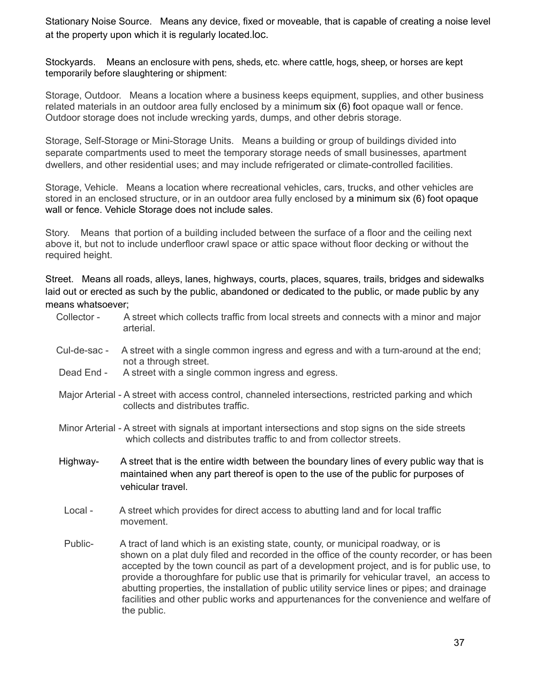Stationary Noise Source. Means any device, fixed or moveable, that is capable of creating a noise level at the property upon which it is regularly located.loc.

Stockyards. Means an enclosure with pens, sheds, etc. where cattle, hogs, sheep, or horses are kept temporarily before slaughtering or shipment:

Storage, Outdoor. Means a location where a business keeps equipment, supplies, and other business related materials in an outdoor area fully enclosed by a minimum six (6) foot opaque wall or fence. Outdoor storage does not include wrecking yards, dumps, and other debris storage.

Storage, Self-Storage or Mini-Storage Units. Means a building or group of buildings divided into separate compartments used to meet the temporary storage needs of small businesses, apartment dwellers, and other residential uses; and may include refrigerated or climate-controlled facilities.

Storage, Vehicle. Means a location where recreational vehicles, cars, trucks, and other vehicles are stored in an enclosed structure, or in an outdoor area fully enclosed by a minimum six (6) foot opaque wall or fence. Vehicle Storage does not include sales.

Story. Means that portion of a building included between the surface of a floor and the ceiling next above it, but not to include underfloor crawl space or attic space without floor decking or without the required height.

Street. Means all roads, alleys, lanes, highways, courts, places, squares, trails, bridges and sidewalks laid out or erected as such by the public, abandoned or dedicated to the public, or made public by any means whatsoever;

| Collector -  | A street which collects traffic from local streets and connects with a minor and major<br>arterial.                                                                                                                                                                      |
|--------------|--------------------------------------------------------------------------------------------------------------------------------------------------------------------------------------------------------------------------------------------------------------------------|
| Cul-de-sac - | A street with a single common ingress and egress and with a turn-around at the end;<br>not a through street.                                                                                                                                                             |
| Dead End -   | A street with a single common ingress and egress.                                                                                                                                                                                                                        |
|              | Major Arterial - A street with access control, channeled intersections, restricted parking and which<br>collects and distributes traffic.                                                                                                                                |
|              | Minor Arterial - A street with signals at important intersections and stop signs on the side streets<br>which collects and distributes traffic to and from collector streets.                                                                                            |
| Highway-     | A street that is the entire width between the boundary lines of every public way that is<br>maintained when any part thereof is open to the use of the public for purposes of<br>vehicular travel.                                                                       |
| Local -      | A street which provides for direct access to abutting land and for local traffic<br>movement.                                                                                                                                                                            |
| Public-      | A tract of land which is an existing state, county, or municipal roadway, or is<br>shown on a plat duly filed and recorded in the office of the county recorder, or has been<br>accepted by the town council as part of a development project, and is for public use, to |

provide a thoroughfare for public use that is primarily for vehicular travel, an access to abutting properties, the installation of public utility service lines or pipes; and drainage facilities and other public works and appurtenances for the convenience and welfare of the public.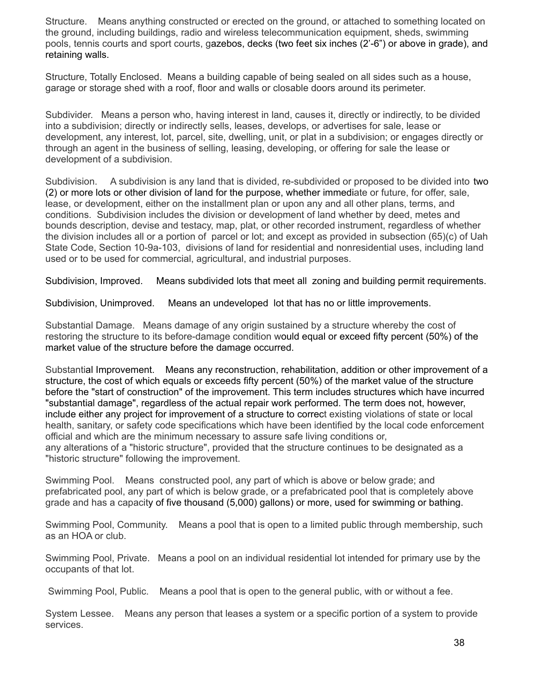Structure. Means anything constructed or erected on the ground, or attached to something located on the ground, including buildings, radio and wireless telecommunication equipment, sheds, swimming pools, tennis courts and sport courts, gazebos, decks (two feet six inches (2'-6") or above in grade), and retaining walls.

Structure, Totally Enclosed. Means a building capable of being sealed on all sides such as a house, garage or storage shed with a roof, floor and walls or closable doors around its perimeter.

Subdivider. Means a person who, having interest in land, causes it, directly or indirectly, to be divided into a subdivision; directly or indirectly sells, leases, develops, or advertises for sale, lease or development, any interest, lot, parcel, site, dwelling, unit, or plat in a subdivision; or engages directly or through an agent in the business of selling, leasing, developing, or offering for sale the lease or development of a subdivision.

Subdivision. A subdivision is any land that is divided, re-subdivided or proposed to be divided into two (2) or more lots or other division of land for the purpose, whether immediate or future, for offer, sale, lease, or development, either on the installment plan or upon any and all other plans, terms, and conditions. Subdivision includes the division or development of land whether by deed, metes and bounds description, devise and testacy, map, plat, or other recorded instrument, regardless of whether the division includes all or a portion of parcel or lot; and except as provided in subsection (65)(c) of Uah State Code, Section 10-9a-103, divisions of land for residential and nonresidential uses, including land used or to be used for commercial, agricultural, and industrial purposes.

Subdivision, Improved. Means subdivided lots that meet all zoning and building permit requirements.

Subdivision, Unimproved. Means an undeveloped lot that has no or little improvements.

Substantial Damage. Means damage of any origin sustained by a structure whereby the cost of restoring the structure to its before-damage condition would equal or exceed fifty percent (50%) of the market value of the structure before the damage occurred.

Substantial Improvement. Means any reconstruction, rehabilitation, addition or other improvement of a structure, the cost of which equals or exceeds fifty percent (50%) of the market value of the structure before the "start of construction" of the improvement. This term includes structures which have incurred "substantial damage", regardless of the actual repair work performed. The term does not, however, include either any project for improvement of a structure to correct existing violations of state or local health, sanitary, or safety code specifications which have been identified by the local code enforcement official and which are the minimum necessary to assure safe living conditions or, any alterations of a "historic structure", provided that the structure continues to be designated as a "historic structure" following the improvement.

Swimming Pool. Means constructed pool, any part of which is above or below grade; and prefabricated pool, any part of which is below grade, or a prefabricated pool that is completely above grade and has a capacity of five thousand (5,000) gallons) or more, used for swimming or bathing.

Swimming Pool, Community. Means a pool that is open to a limited public through membership, such as an HOA or club.

Swimming Pool, Private. Means a pool on an individual residential lot intended for primary use by the occupants of that lot.

Swimming Pool, Public. Means a pool that is open to the general public, with or without a fee.

System Lessee. Means any person that leases a system or a specific portion of a system to provide services.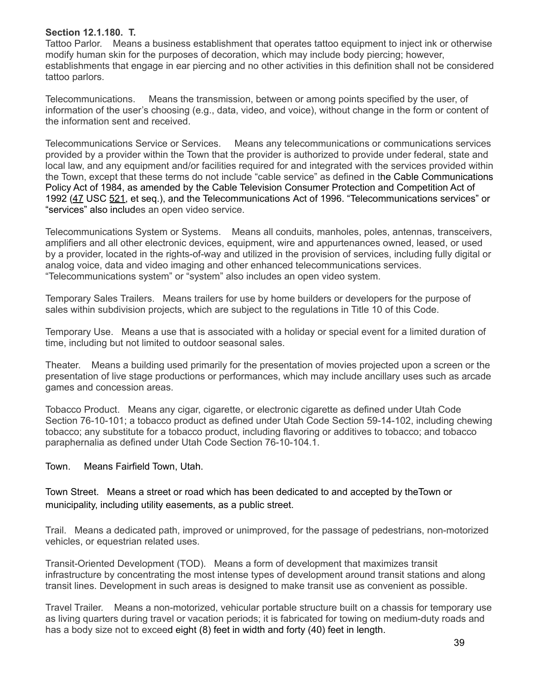#### **Section 12.1.180. T.**

Tattoo Parlor. Means a business establishment that operates tattoo equipment to inject ink or otherwise modify human skin for the purposes of decoration, which may include body piercing; however, establishments that engage in ear piercing and no other activities in this definition shall not be considered tattoo parlors.

Telecommunications. Means the transmission, between or among points specified by the user, of information of the user's choosing (e.g., data, video, and voice), without change in the form or content of the information sent and received.

Telecommunications Service or Services. Means any telecommunications or communications services provided by a provider within the Town that the provider is authorized to provide under federal, state and local law, and any equipment and/or facilities required for and integrated with the services provided within the Town, except that these terms do not include "cable service" as defined in the Cable Communications Policy Act of 1984, as amended by the Cable Television Consumer Protection and Competition Act of 1992 [\(47](http://www.law.cornell.edu/uscode/text/47) USC [521,](http://www.law.cornell.edu/uscode/text/47/521) et seq.), and the Telecommunications Act of 1996. "Telecommunications services" or "services" also includes an open video service.

Telecommunications System or Systems. Means all conduits, manholes, poles, antennas, transceivers, amplifiers and all other electronic devices, equipment, wire and appurtenances owned, leased, or used by a provider, located in the rights-of-way and utilized in the provision of services, including fully digital or analog voice, data and video imaging and other enhanced telecommunications services. "Telecommunications system" or "system" also includes an open video system.

Temporary Sales Trailers. Means trailers for use by home builders or developers for the purpose of sales within subdivision projects, which are subject to the regulations in Title 10 of this Code.

Temporary Use. Means a use that is associated with a holiday or special event for a limited duration of time, including but not limited to outdoor seasonal sales.

Theater. Means a building used primarily for the presentation of movies projected upon a screen or the presentation of live stage productions or performances, which may include ancillary uses such as arcade games and concession areas.

Tobacco Product. Means any cigar, cigarette, or electronic cigarette as defined under Utah Code Section 76-10-101; a tobacco product as defined under Utah Code Section 59-14-102, including chewing tobacco; any substitute for a tobacco product, including flavoring or additives to tobacco; and tobacco paraphernalia as defined under Utah Code Section 76-10-104.1.

Town. Means Fairfield Town, Utah.

Town Street. Means a street or road which has been dedicated to and accepted by theTown or municipality, including utility easements, as a public street.

Trail. Means a dedicated path, improved or unimproved, for the passage of pedestrians, non-motorized vehicles, or equestrian related uses.

Transit-Oriented Development (TOD). Means a form of development that maximizes transit infrastructure by concentrating the most intense types of development around transit stations and along transit lines. Development in such areas is designed to make transit use as convenient as possible.

Travel Trailer. Means a non-motorized, vehicular portable structure built on a chassis for temporary use as living quarters during travel or vacation periods; it is fabricated for towing on medium-duty roads and has a body size not to exceed eight (8) feet in width and forty (40) feet in length.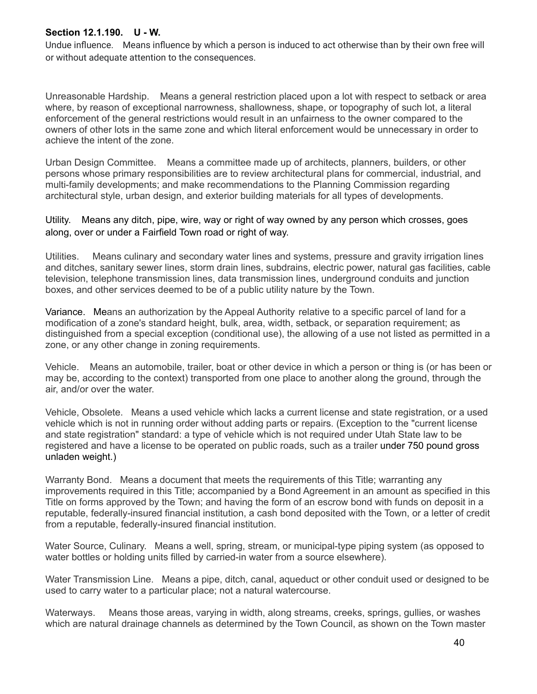# **Section 12.1.190. U - W.**

Undue influence. Means influence by which a person is induced to act otherwise than by their own free will or without adequate attention to the consequences.

Unreasonable Hardship. Means a general restriction placed upon a lot with respect to setback or area where, by reason of exceptional narrowness, shallowness, shape, or topography of such lot, a literal enforcement of the general restrictions would result in an unfairness to the owner compared to the owners of other lots in the same zone and which literal enforcement would be unnecessary in order to achieve the intent of the zone.

Urban Design Committee. Means a committee made up of architects, planners, builders, or other persons whose primary responsibilities are to review architectural plans for commercial, industrial, and multi-family developments; and make recommendations to the Planning Commission regarding architectural style, urban design, and exterior building materials for all types of developments.

Utility. Means any ditch, pipe, wire, way or right of way owned by any person which crosses, goes along, over or under a Fairfield Town road or right of way.

Utilities. Means culinary and secondary water lines and systems, pressure and gravity irrigation lines and ditches, sanitary sewer lines, storm drain lines, subdrains, electric power, natural gas facilities, cable television, telephone transmission lines, data transmission lines, underground conduits and junction boxes, and other services deemed to be of a public utility nature by the Town.

Variance. Means an authorization by the Appeal Authority relative to a specific parcel of land for a modification of a zone's standard height, bulk, area, width, setback, or separation requirement; as distinguished from a special exception (conditional use), the allowing of a use not listed as permitted in a zone, or any other change in zoning requirements.

Vehicle. Means an automobile, trailer, boat or other device in which a person or thing is (or has been or may be, according to the context) transported from one place to another along the ground, through the air, and/or over the water.

Vehicle, Obsolete. Means a used vehicle which lacks a current license and state registration, or a used vehicle which is not in running order without adding parts or repairs. (Exception to the "current license and state registration" standard: a type of vehicle which is not required under Utah State law to be registered and have a license to be operated on public roads, such as a trailer under 750 pound gross unladen weight.)

Warranty Bond. Means a document that meets the requirements of this Title; warranting any improvements required in this Title; accompanied by a Bond Agreement in an amount as specified in this Title on forms approved by the Town; and having the form of an escrow bond with funds on deposit in a reputable, federally-insured financial institution, a cash bond deposited with the Town, or a letter of credit from a reputable, federally-insured financial institution.

Water Source, Culinary. Means a well, spring, stream, or municipal-type piping system (as opposed to water bottles or holding units filled by carried-in water from a source elsewhere).

Water Transmission Line. Means a pipe, ditch, canal, aqueduct or other conduit used or designed to be used to carry water to a particular place; not a natural watercourse.

Waterways. Means those areas, varying in width, along streams, creeks, springs, gullies, or washes which are natural drainage channels as determined by the Town Council, as shown on the Town master